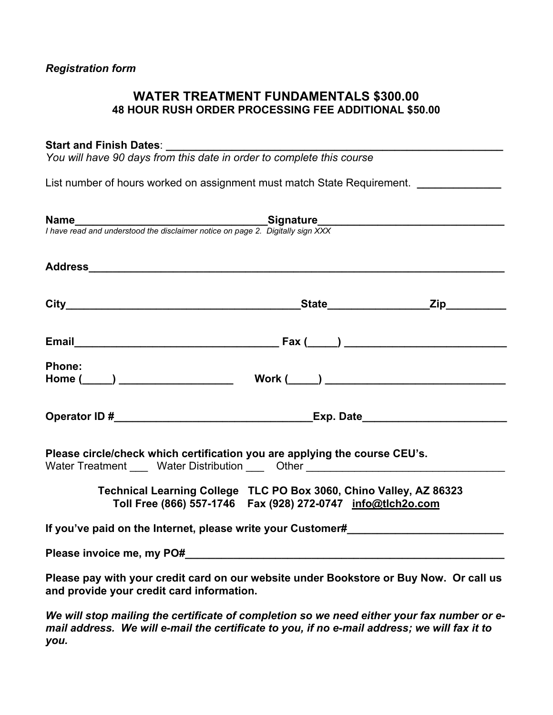### **WATER TREATMENT FUNDAMENTALS \$300.00 48 HOUR RUSH ORDER PROCESSING FEE ADDITIONAL \$50.00**

#### Start and Finish Dates:

*You will have 90 days from this date in order to complete this course* 

List number of hours worked on assignment must match State Requirement. *\_\_\_\_\_\_\_\_\_\_\_\_* 

| <b>Name</b><br>I have read and understood the disclaimer notice on page 2. Digitally sign XXX                                                                  |                                                                                                                                         |  |
|----------------------------------------------------------------------------------------------------------------------------------------------------------------|-----------------------------------------------------------------------------------------------------------------------------------------|--|
|                                                                                                                                                                |                                                                                                                                         |  |
|                                                                                                                                                                |                                                                                                                                         |  |
|                                                                                                                                                                |                                                                                                                                         |  |
| <b>Phone:</b>                                                                                                                                                  |                                                                                                                                         |  |
|                                                                                                                                                                |                                                                                                                                         |  |
| Please circle/check which certification you are applying the course CEU's.<br>Water Treatment _____ Water Distribution _____ Other ___________________________ |                                                                                                                                         |  |
|                                                                                                                                                                | Technical Learning College TLC PO Box 3060, Chino Valley, AZ 86323<br>Toll Free (866) 557-1746    Fax (928) 272-0747    info@tlch2o.com |  |
| If you've paid on the Internet, please write your Customer#                                                                                                    |                                                                                                                                         |  |
|                                                                                                                                                                |                                                                                                                                         |  |
| Please pay with your credit card on our website under Bookstore or Buy Now. Or call us<br>and provide your credit card information.                            |                                                                                                                                         |  |

*We will stop mailing the certificate of completion so we need either your fax number or email address. We will e-mail the certificate to you, if no e-mail address; we will fax it to you.*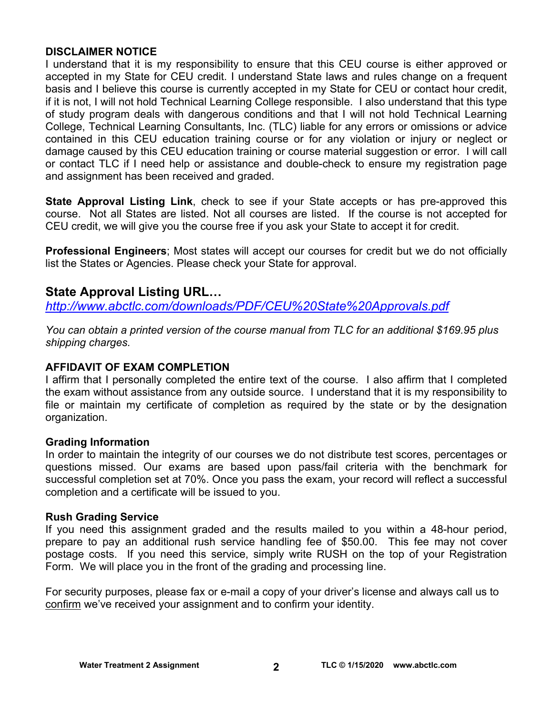#### **DISCLAIMER NOTICE**

I understand that it is my responsibility to ensure that this CEU course is either approved or accepted in my State for CEU credit. I understand State laws and rules change on a frequent basis and I believe this course is currently accepted in my State for CEU or contact hour credit, if it is not, I will not hold Technical Learning College responsible. I also understand that this type of study program deals with dangerous conditions and that I will not hold Technical Learning College, Technical Learning Consultants, Inc. (TLC) liable for any errors or omissions or advice contained in this CEU education training course or for any violation or injury or neglect or damage caused by this CEU education training or course material suggestion or error. I will call or contact TLC if I need help or assistance and double-check to ensure my registration page and assignment has been received and graded.

**State Approval Listing Link**, check to see if your State accepts or has pre-approved this course. Not all States are listed. Not all courses are listed. If the course is not accepted for CEU credit, we will give you the course free if you ask your State to accept it for credit.

**Professional Engineers**; Most states will accept our courses for credit but we do not officially list the States or Agencies. Please check your State for approval.

## **State Approval Listing URL…**

*<http://www.abctlc.com/downloads/PDF/CEU%20State%20Approvals.pdf>*

*You can obtain a printed version of the course manual from TLC for an additional \$169.95 plus shipping charges.* 

#### **AFFIDAVIT OF EXAM COMPLETION**

I affirm that I personally completed the entire text of the course. I also affirm that I completed the exam without assistance from any outside source. I understand that it is my responsibility to file or maintain my certificate of completion as required by the state or by the designation organization.

#### **Grading Information**

In order to maintain the integrity of our courses we do not distribute test scores, percentages or questions missed. Our exams are based upon pass/fail criteria with the benchmark for successful completion set at 70%. Once you pass the exam, your record will reflect a successful completion and a certificate will be issued to you.

#### **Rush Grading Service**

If you need this assignment graded and the results mailed to you within a 48-hour period, prepare to pay an additional rush service handling fee of \$50.00. This fee may not cover postage costs. If you need this service, simply write RUSH on the top of your Registration Form. We will place you in the front of the grading and processing line.

For security purposes, please fax or e-mail a copy of your driver's license and always call us to confirm we've received your assignment and to confirm your identity.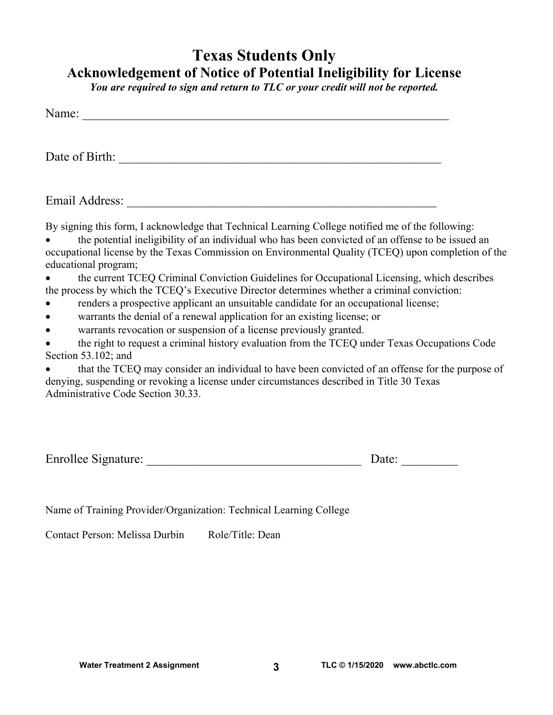## **Texas Students Only Acknowledgement of Notice of Potential Ineligibility for License**

*You are required to sign and return to TLC or your credit will not be reported.* 

| Name:                                                                                                                                                                                                                                                                                                                                                                                                                                                                                                                                                                                                                                                                                                                                                                                                                                                                                                                                                                                                                                                                                                                                            |  |
|--------------------------------------------------------------------------------------------------------------------------------------------------------------------------------------------------------------------------------------------------------------------------------------------------------------------------------------------------------------------------------------------------------------------------------------------------------------------------------------------------------------------------------------------------------------------------------------------------------------------------------------------------------------------------------------------------------------------------------------------------------------------------------------------------------------------------------------------------------------------------------------------------------------------------------------------------------------------------------------------------------------------------------------------------------------------------------------------------------------------------------------------------|--|
| Date of Birth:                                                                                                                                                                                                                                                                                                                                                                                                                                                                                                                                                                                                                                                                                                                                                                                                                                                                                                                                                                                                                                                                                                                                   |  |
| Email Address:                                                                                                                                                                                                                                                                                                                                                                                                                                                                                                                                                                                                                                                                                                                                                                                                                                                                                                                                                                                                                                                                                                                                   |  |
| By signing this form, I acknowledge that Technical Learning College notified me of the following:<br>the potential ineligibility of an individual who has been convicted of an offense to be issued an<br>occupational license by the Texas Commission on Environmental Quality (TCEQ) upon completion of the<br>educational program;<br>the current TCEQ Criminal Conviction Guidelines for Occupational Licensing, which describes<br>the process by which the TCEQ's Executive Director determines whether a criminal conviction:<br>renders a prospective applicant an unsuitable candidate for an occupational license;<br>warrants the denial of a renewal application for an existing license; or<br>warrants revocation or suspension of a license previously granted.<br>the right to request a criminal history evaluation from the TCEQ under Texas Occupations Code<br>Section $53.102$ ; and<br>that the TCEQ may consider an individual to have been convicted of an offense for the purpose of<br>denying, suspending or revoking a license under circumstances described in Title 30 Texas<br>Administrative Code Section 30.33. |  |

| Enrollee Signature: | Date: |
|---------------------|-------|
|                     |       |

Name of Training Provider/Organization: Technical Learning College

Contact Person: Melissa Durbin Role/Title: Dean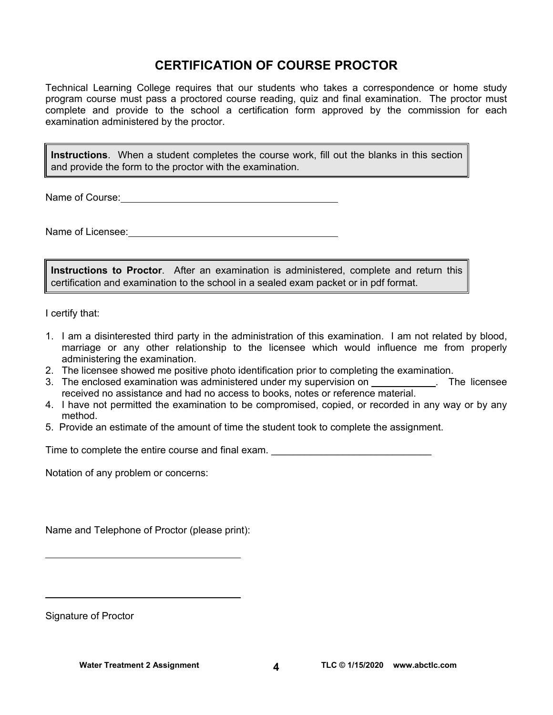## **CERTIFICATION OF COURSE PROCTOR**

Technical Learning College requires that our students who takes a correspondence or home study program course must pass a proctored course reading, quiz and final examination. The proctor must complete and provide to the school a certification form approved by the commission for each examination administered by the proctor.

**Instructions**. When a student completes the course work, fill out the blanks in this section and provide the form to the proctor with the examination.

Name of Course:  $\blacksquare$ 

Name of Licensee: **Name of Licensee:** 

**Instructions to Proctor**. After an examination is administered, complete and return this certification and examination to the school in a sealed exam packet or in pdf format.

I certify that:

- 1. I am a disinterested third party in the administration of this examination. I am not related by blood, marriage or any other relationship to the licensee which would influence me from properly administering the examination.
- 2. The licensee showed me positive photo identification prior to completing the examination.
- 3. The enclosed examination was administered under my supervision on \_\_\_\_\_\_\_\_\_\_\_. The licensee received no assistance and had no access to books, notes or reference material.
- 4. I have not permitted the examination to be compromised, copied, or recorded in any way or by any method.
- 5. Provide an estimate of the amount of time the student took to complete the assignment.

Time to complete the entire course and final exam.

Notation of any problem or concerns:

Name and Telephone of Proctor (please print):

Signature of Proctor

 $\overline{a}$ 

 $\overline{a}$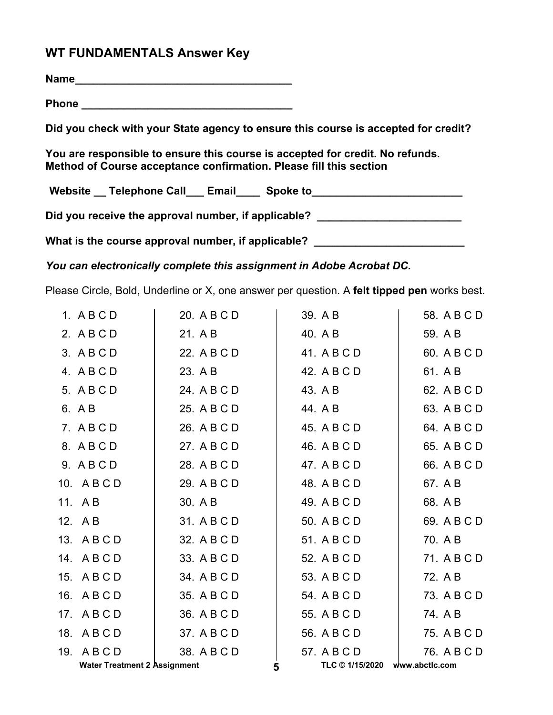## **WT FUNDAMENTALS Answer Key**

**Name\_\_\_\_\_\_\_\_\_\_\_\_\_\_\_\_\_\_\_\_\_\_\_\_\_\_\_\_\_\_\_\_\_\_\_\_**

**Phone \_\_\_\_\_\_\_\_\_\_\_\_\_\_\_\_\_\_\_\_\_\_\_\_\_\_\_\_\_\_\_\_\_\_\_** 

**Did you check with your State agency to ensure this course is accepted for credit?** 

**You are responsible to ensure this course is accepted for credit. No refunds. Method of Course acceptance confirmation. Please fill this section** 

Website \_\_ Telephone Call \_\_ Email \_\_\_ Spoke to \_\_\_\_\_\_\_\_\_\_\_\_\_\_\_\_\_\_\_\_\_\_\_\_\_\_\_\_\_\_\_\_

Did you receive the approval number, if applicable?

What is the course approval number, if applicable? \_\_\_\_\_\_\_\_\_\_\_\_\_\_\_\_\_\_\_\_\_\_\_\_\_\_\_\_\_

*You can electronically complete this assignment in Adobe Acrobat DC.* 

Please Circle, Bold, Underline or X, one answer per question. A **felt tipped pen** works best.

| 1. ABCD                             | 20. A B C D |   | 39. A B                          | 58. A B C D |
|-------------------------------------|-------------|---|----------------------------------|-------------|
| 2. ABCD                             | 21. A B     |   | 40. A B                          | 59. A B     |
| 3. ABCD                             | 22. A B C D |   | 41. A B C D                      | 60. A B C D |
| 4. ABCD                             | 23. A B     |   | 42. A B C D                      | 61. A B     |
| 5. A B C D                          | 24. A B C D |   | 43. A B                          | 62. A B C D |
| 6. A B                              | 25. A B C D |   | 44. A B                          | 63. A B C D |
| 7. ABCD                             | 26. A B C D |   | 45. A B C D                      | 64. A B C D |
| 8. ABCD                             | 27. A B C D |   | 46. A B C D                      | 65. A B C D |
| 9. ABCD                             | 28. A B C D |   | 47. A B C D                      | 66. A B C D |
| 10. ABCD                            | 29. A B C D |   | 48. A B C D                      | 67. A B     |
| 11. AB                              | 30. A B     |   | 49. A B C D                      | 68. A B     |
| 12. A B                             | 31. A B C D |   | 50. A B C D                      | 69. A B C D |
| 13. A B C D                         | 32. A B C D |   | 51. A B C D                      | 70. A B     |
| 14. ABCD                            | 33. A B C D |   | 52. A B C D                      | 71. A B C D |
| 15. ABCD                            | 34. A B C D |   | 53. A B C D                      | 72. A B     |
| 16. A B C D                         | 35. A B C D |   | 54. A B C D                      | 73. A B C D |
| 17. ABCD                            | 36. A B C D |   | 55. A B C D                      | 74. A B     |
| 18. ABCD                            | 37. A B C D |   | 56. A B C D                      | 75. A B C D |
| 19. ABCD                            | 38. A B C D |   | 57. A B C D                      | 76. A B C D |
| <b>Water Treatment 2 Assignment</b> |             | 5 | TLC $@$ 1/15/2020 www.abctlc.com |             |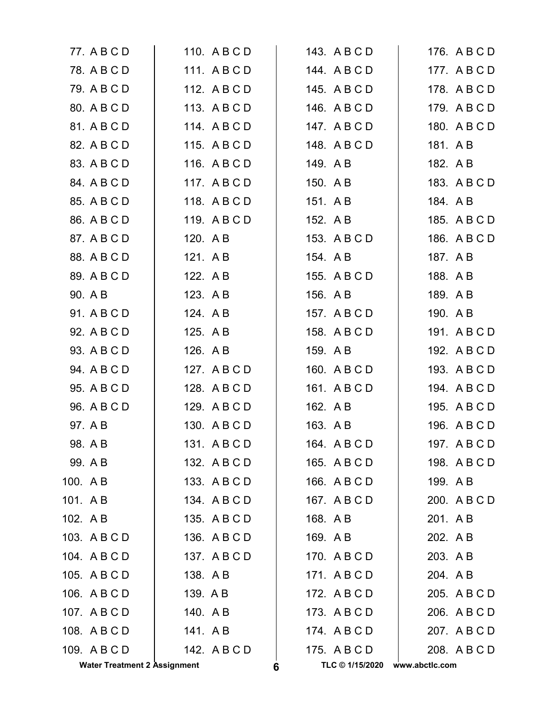|         | <b>Water Treatment 2 Assignment</b> |          |              | 6 |          | TLC © 1/15/2020 | www.abctlc.com |              |
|---------|-------------------------------------|----------|--------------|---|----------|-----------------|----------------|--------------|
|         | 109. ABCD                           |          | 142. A B C D |   |          | 175. A B C D    |                | 208. A B C D |
|         | 108. A B C D                        | 141. AB  |              |   |          | 174. ABCD       |                | 207. A B C D |
|         | 107. ABCD                           | 140. A B |              |   |          | 173. A B C D    |                | 206. A B C D |
|         | 106. A B C D                        | 139. A B |              |   |          | 172. A B C D    |                | 205. A B C D |
|         | 105. ABCD                           | 138. AB  |              |   |          | 171. ABCD       |                | 204. A B     |
|         | 104. ABCD                           |          | 137. A B C D |   |          | 170. A B C D    |                | 203. A B     |
|         | 103. ABCD                           |          | 136. A B C D |   | 169. AB  |                 |                | 202. A B     |
| 102. AB |                                     |          | 135. A B C D |   | 168. AB  |                 | 201. AB        |              |
| 101. AB |                                     |          | 134. ABCD    |   |          | 167. A B C D    |                | 200. A B C D |
| 100. AB |                                     |          | 133. ABCD    |   |          | 166. A B C D    |                | 199. A B     |
|         | 99. A B                             |          | 132. A B C D |   |          | 165. A B C D    |                | 198. A B C D |
|         | 98. A B                             |          | 131. ABCD    |   |          | 164. A B C D    |                | 197. A B C D |
|         | 97. A B                             |          | 130. A B C D |   | 163. A B |                 |                | 196. A B C D |
|         | 96. A B C D                         |          | 129. ABCD    |   | 162. A B |                 |                | 195. A B C D |
|         | 95. A B C D                         |          | 128. A B C D |   |          | 161. A B C D    |                | 194. A B C D |
|         | 94. A B C D                         |          | 127. ABCD    |   |          | 160. A B C D    |                | 193. A B C D |
|         | 93. A B C D                         | 126. A B |              |   | 159. A B |                 |                | 192. A B C D |
|         | 92. A B C D                         | 125. A B |              |   |          | 158. A B C D    |                | 191. A B C D |
|         | 91. A B C D                         | 124. A B |              |   |          | 157. A B C D    |                | 190. A B     |
|         | 90. A B                             | 123. A B |              |   | 156. A B |                 |                | 189. A B     |
|         | 89. A B C D                         | 122. A B |              |   |          | 155. A B C D    |                | 188. A B     |
|         | 88. A B C D                         | 121. AB  |              |   | 154. A B |                 |                | 187. A B     |
|         | 87. A B C D                         | 120. AB  |              |   |          | 153. A B C D    |                | 186. A B C D |
|         | 86. A B C D                         |          | 119. ABCD    |   | 152. A B |                 |                | 185. A B C D |
|         | 85. A B C D                         |          | 118. ABCD    |   | 151. A B |                 |                | 184. A B     |
|         | 84. A B C D                         |          | 117. ABCD    |   | 150. A B |                 |                | 183. A B C D |
|         | 83. A B C D                         |          | 116. ABCD    |   | 149. A B |                 |                | 182. A B     |
|         | 82. A B C D                         |          | 115. ABCD    |   |          | 148. A B C D    |                | 181. A B     |
|         | 81. A B C D                         |          | 114. ABCD    |   |          | 147. ABCD       |                | 180. A B C D |
|         | 80. A B C D                         |          | 113. ABCD    |   |          | 146. A B C D    |                | 179. A B C D |
|         | 79. A B C D                         |          | 112. A B C D |   |          | 145. A B C D    |                | 178. A B C D |
|         | 78. A B C D                         |          | 111. ABCD    |   |          | 144. ABCD       |                | 177. ABCD    |
|         | 77. A B C D                         |          | 110. A B C D |   |          | 143. A B C D    |                | 176. A B C D |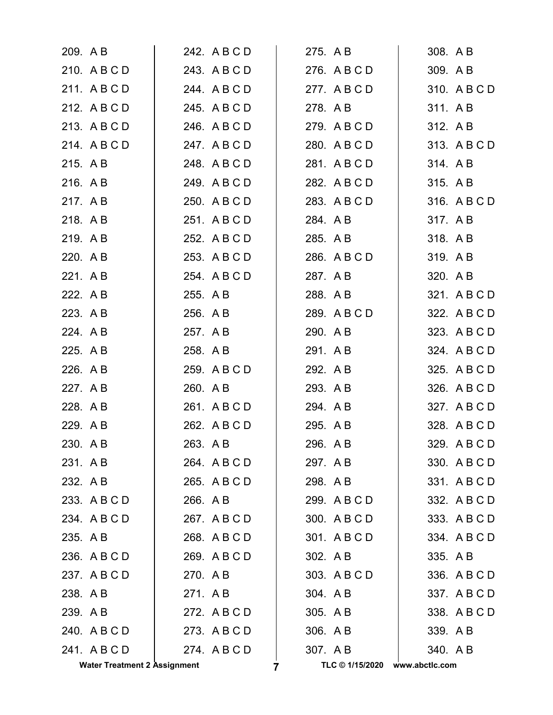| <b>Water Treatment 2 Assignment</b> |              | TLC © 1/15/2020<br>7 | www.abctlc.com |
|-------------------------------------|--------------|----------------------|----------------|
| 241. ABCD                           | 274. ABCD    | 307. AB              | 340. AB        |
| 240. A B C D                        | 273. A B C D | 306. A B             | 339. AB        |
| 239. AB                             | 272. A B C D | 305. A B             | 338. A B C D   |
| 238. A B                            | 271. AB      | 304. AB              | 337. A B C D   |
| 237. ABCD                           | 270. AB      | 303. A B C D         | 336. A B C D   |
| 236. A B C D                        | 269. A B C D | 302. A B             | 335. A B       |
| 235. A B                            | 268. A B C D | 301. ABCD            | 334. A B C D   |
| 234. ABCD                           | 267. ABCD    | 300. A B C D         | 333. A B C D   |
| 233. A B C D                        | 266. A B     | 299. A B C D         | 332. A B C D   |
| 232. A B                            | 265. A B C D | 298. A B             | 331. ABCD      |
| 231. AB                             | 264. A B C D | 297. AB              | 330. A B C D   |
| 230. AB                             | 263. AB      | 296. AB              | 329. A B C D   |
| 229. AB                             | 262. A B C D | 295. A B             | 328. A B C D   |
| 228. AB                             | 261. A B C D | 294. A B             | 327. A B C D   |
| 227. A B                            | 260. AB      | 293. A B             | 326. A B C D   |
| 226. A B                            | 259. A B C D | 292. A B             | 325. A B C D   |
| 225. A B                            | 258. A B     | 291. AB              | 324. A B C D   |
| 224. AB                             | 257. A B     | 290. A B             | 323. A B C D   |
| 223. A B                            | 256. A B     | 289. A B C D         | 322. A B C D   |
| 222. A B                            | 255. A B     | 288. AB              | 321. A B C D   |
| 221. AB                             | 254. A B C D | 287. AB              | 320. A B       |
| 220. A B                            | 253. A B C D | 286. A B C D         | 319. AB        |
| 219. AB                             | 252. A B C D | 285. A B             | 318. AB        |
| 218. A B                            | 251. A B C D | 284. AB              | 317. AB        |
| 217. A B                            | 250. A B C D | 283. A B C D         | 316. A B C D   |
| 216. AB                             | 249. A B C D | 282. A B C D         | 315. A B       |
| 215. A B                            | 248. A B C D | 281. ABCD            | 314. AB        |
| 214. ABCD                           | 247. A B C D | 280. A B C D         | 313. A B C D   |
| 213. A B C D                        | 246. A B C D | 279. A B C D         | 312. AB        |
| 212. A B C D                        | 245. A B C D | 278. A B             | 311. AB        |
| 211. ABCD                           | 244. A B C D | 277. ABCD            | 310. A B C D   |
| 210. A B C D                        | 243. A B C D | 276. ABCD            | 309. AB        |
| 209. A B                            | 242. A B C D | 275. A B             | 308. A B       |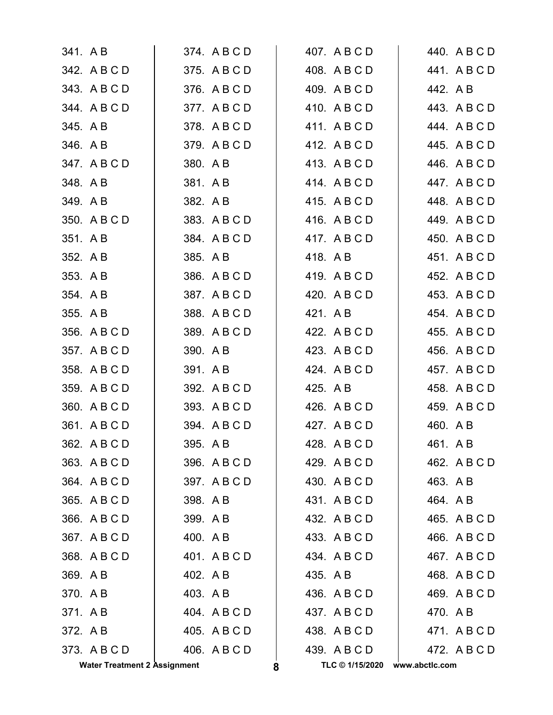|          | <b>Water Treatment 2 Assignment</b> |         |              | 8 | TLC © 1/15/2020 | www.abctlc.com |          |              |
|----------|-------------------------------------|---------|--------------|---|-----------------|----------------|----------|--------------|
|          | 373. ABCD                           |         | 406. A B C D |   | 439. A B C D    |                |          | 472. A B C D |
| 372. A B |                                     |         | 405. A B C D |   | 438. A B C D    |                |          | 471. ABCD    |
| 371. AB  |                                     |         | 404. A B C D |   | 437. ABCD       |                | 470. A B |              |
| 370. AB  |                                     |         | 403. A B     |   | 436. A B C D    |                |          | 469. A B C D |
| 369. AB  |                                     |         | 402. A B     |   | 435. A B        |                |          | 468. A B C D |
|          | 368. A B C D                        |         | 401. A B C D |   | 434. A B C D    |                |          | 467. A B C D |
|          | 367. ABCD                           |         | 400. A B     |   | 433. A B C D    |                |          | 466. A B C D |
|          | 366. A B C D                        | 399. AB |              |   | 432. A B C D    |                |          | 465. A B C D |
|          | 365. A B C D                        |         | 398. AB      |   | 431. ABCD       |                | 464. A B |              |
|          | 364. A B C D                        |         | 397. A B C D |   | 430. A B C D    |                | 463. A B |              |
|          | 363. A B C D                        |         | 396. A B C D |   | 429. A B C D    |                |          | 462. A B C D |
|          | 362. A B C D                        |         | 395. A B     |   | 428. A B C D    |                | 461. A B |              |
|          | 361. A B C D                        |         | 394. A B C D |   | 427. ABCD       |                | 460. A B |              |
|          | 360. A B C D                        |         | 393. A B C D |   | 426. A B C D    |                |          | 459. A B C D |
|          | 359. A B C D                        |         | 392. A B C D |   | 425. A B        |                |          | 458. A B C D |
|          | 358. A B C D                        |         | 391. A B     |   | 424. A B C D    |                |          | 457. A B C D |
|          | 357. A B C D                        |         | 390. A B     |   | 423. A B C D    |                |          | 456. A B C D |
|          | 356. A B C D                        |         | 389. A B C D |   | 422. A B C D    |                |          | 455. A B C D |
| 355. A B |                                     |         | 388. A B C D |   | 421. A B        |                |          | 454. A B C D |
| 354. AB  |                                     |         | 387. A B C D |   | 420. A B C D    |                |          | 453. A B C D |
| 353. AB  |                                     |         | 386. A B C D |   | 419. ABCD       |                |          | 452. A B C D |
| 352. A B |                                     |         | 385. A B     |   | 418. A B        |                |          | 451. A B C D |
| 351. A B |                                     |         | 384. A B C D |   | 417. ABCD       |                |          | 450. A B C D |
|          | 350. A B C D                        |         | 383. A B C D |   | 416. A B C D    |                |          | 449. A B C D |
| 349. A B |                                     |         | 382. A B     |   | 415. A B C D    |                |          | 448. A B C D |
| 348. A B |                                     |         | 381. AB      |   | 414. ABCD       |                |          | 447. A B C D |
|          | 347. ABCD                           |         | 380. A B     |   | 413. A B C D    |                |          | 446. A B C D |
| 346. AB  |                                     |         | 379. ABCD    |   | 412. A B C D    |                |          | 445. A B C D |
| 345. A B |                                     |         | 378. A B C D |   | 411. ABCD       |                |          | 444. A B C D |
|          | 344. ABCD                           |         | 377. A B C D |   | 410. A B C D    |                |          | 443. A B C D |
|          | 343. A B C D                        |         | 376. A B C D |   | 409. A B C D    |                | 442. A B |              |
|          | 342. A B C D                        |         | 375. A B C D |   | 408. A B C D    |                |          | 441. ABCD    |
| 341. A B |                                     |         | 374. A B C D |   | 407. A B C D    |                |          | 440. A B C D |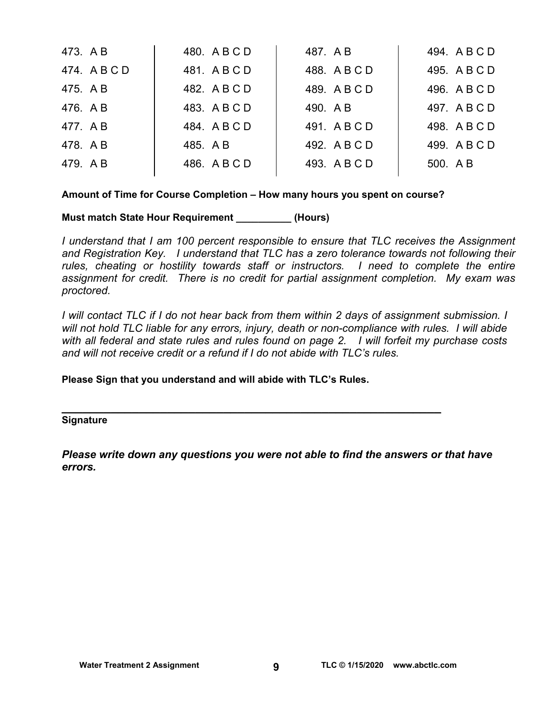| 473. A B  | 480. A B C D | 487. A B     | 494. A B C D |
|-----------|--------------|--------------|--------------|
| 474. ABCD | 481. ABCD    | 488. ABCD    | 495. A B C D |
| 475. A B  | 482. A B C D | 489. A B C D | 496. A B C D |
| 476. A B  | 483. A B C D | 490. A B     | 497. A B C D |
| 477. AB   | 484. ABCD    | 491. ABCD    | 498. A B C D |
| 478. AB   | 485. A B     | 492. A B C D | 499. A B C D |
| 479. AB   | 486. A B C D | 493. A B C D | 500. AB      |
|           |              |              |              |

#### **Amount of Time for Course Completion – How many hours you spent on course?**

#### **Must match State Hour Requirement \_\_\_\_\_\_\_\_\_\_ (Hours)**

*I understand that I am 100 percent responsible to ensure that TLC receives the Assignment and Registration Key. I understand that TLC has a zero tolerance towards not following their rules, cheating or hostility towards staff or instructors. I need to complete the entire assignment for credit. There is no credit for partial assignment completion. My exam was proctored.* 

*I* will contact TLC if *I* do not hear back from them within 2 days of assignment submission. *I will not hold TLC liable for any errors, injury, death or non-compliance with rules. I will abide with all federal and state rules and rules found on page 2. I will forfeit my purchase costs and will not receive credit or a refund if I do not abide with TLC's rules.* 

**Please Sign that you understand and will abide with TLC's Rules.** 

# **\_\_\_\_\_\_\_\_\_\_\_\_\_\_\_\_\_\_\_\_\_\_\_\_\_\_\_\_\_\_\_\_\_\_\_\_\_\_\_\_\_\_\_\_\_\_\_\_\_\_\_\_\_\_ Signature**

*Please write down any questions you were not able to find the answers or that have errors.*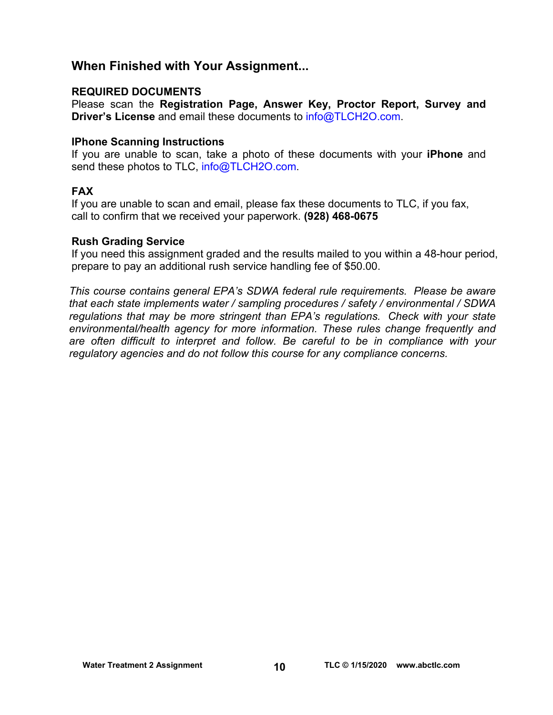## **When Finished with Your Assignment...**

#### **REQUIRED DOCUMENTS**

Please scan the **Registration Page, Answer Key, Proctor Report, Survey and Driver's License** and email these documents to [info@TLCH2O.com.](mailto:info@TLCH2O.com) 

#### **IPhone Scanning Instructions**

If you are unable to scan, take a photo of these documents with your **iPhone** and send these photos to TLC, info@TLCH2O.com.

#### **FAX**

If you are unable to scan and email, please fax these documents to TLC, if you fax, call to confirm that we received your paperwork. **(928) 468-0675** 

#### **Rush Grading Service**

If you need this assignment graded and the results mailed to you within a 48-hour period, prepare to pay an additional rush service handling fee of \$50.00.

*This course contains general EPA's SDWA federal rule requirements. Please be aware that each state implements water / sampling procedures / safety / environmental / SDWA regulations that may be more stringent than EPA's regulations. Check with your state environmental/health agency for more information. These rules change frequently and are often difficult to interpret and follow. Be careful to be in compliance with your regulatory agencies and do not follow this course for any compliance concerns.*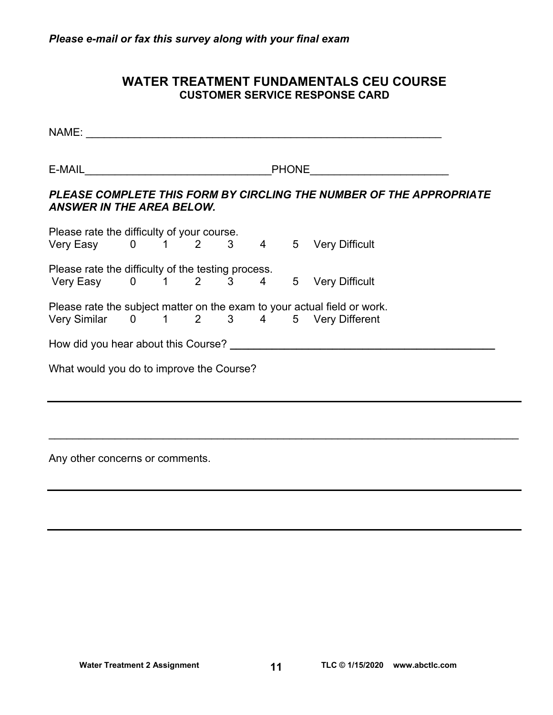### **WATER TREATMENT FUNDAMENTALS CEU COURSE CUSTOMER SERVICE RESPONSE CARD**

NAME: \_\_\_\_\_\_\_\_\_\_\_\_\_\_\_\_\_\_\_\_\_\_\_\_\_\_\_\_\_\_\_\_\_\_\_\_\_\_\_\_\_\_\_\_\_\_\_\_\_\_\_\_\_\_\_\_\_\_\_

E-MAIL\_\_\_\_\_\_\_\_\_\_\_\_\_\_\_\_\_\_\_\_\_\_\_\_\_\_\_\_\_\_\_PHONE\_\_\_\_\_\_\_\_\_\_\_\_\_\_\_\_\_\_\_\_\_\_\_

#### *PLEASE COMPLETE THIS FORM BY CIRCLING THE NUMBER OF THE APPROPRIATE ANSWER IN THE AREA BELOW.*

| Please rate the difficulty of your course.         |  |  |  |  |           |             |                                                                          |
|----------------------------------------------------|--|--|--|--|-----------|-------------|--------------------------------------------------------------------------|
| Very Easy 0 1 2 3 4                                |  |  |  |  |           |             | 5 Very Difficult                                                         |
| Please rate the difficulty of the testing process. |  |  |  |  |           |             |                                                                          |
| Very Easy 0 1 2 3                                  |  |  |  |  | $4 \quad$ | $5^{\circ}$ | <b>Very Difficult</b>                                                    |
|                                                    |  |  |  |  |           |             | Please rate the subject matter on the exam to your actual field or work. |
| Very Similar 0 1 2 3 4                             |  |  |  |  |           |             | 5 Very Different                                                         |
| How did you hear about this Course?                |  |  |  |  |           |             |                                                                          |
| What would you do to improve the Course?           |  |  |  |  |           |             |                                                                          |
|                                                    |  |  |  |  |           |             |                                                                          |

 $\mathcal{L}_\mathcal{L} = \mathcal{L}_\mathcal{L} = \mathcal{L}_\mathcal{L} = \mathcal{L}_\mathcal{L} = \mathcal{L}_\mathcal{L} = \mathcal{L}_\mathcal{L} = \mathcal{L}_\mathcal{L} = \mathcal{L}_\mathcal{L} = \mathcal{L}_\mathcal{L} = \mathcal{L}_\mathcal{L} = \mathcal{L}_\mathcal{L} = \mathcal{L}_\mathcal{L} = \mathcal{L}_\mathcal{L} = \mathcal{L}_\mathcal{L} = \mathcal{L}_\mathcal{L} = \mathcal{L}_\mathcal{L} = \mathcal{L}_\mathcal{L}$ 

Any other concerns or comments.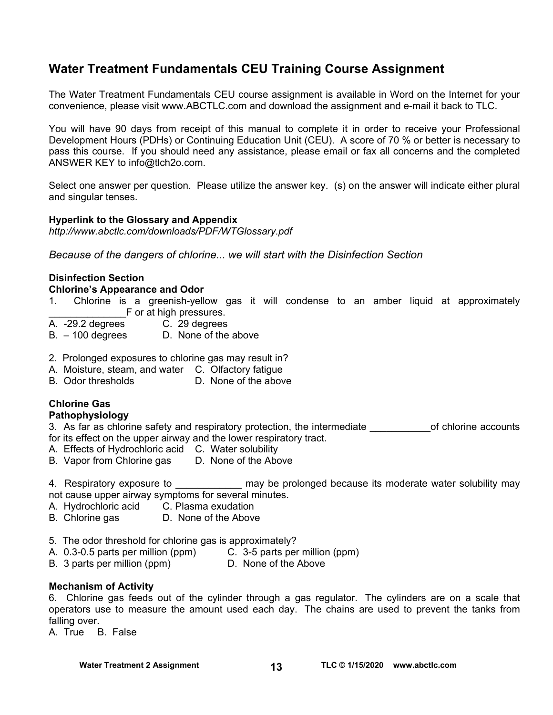## **Water Treatment Fundamentals CEU Training Course Assignment**

The Water Treatment Fundamentals CEU course assignment is available in Word on the Internet for your convenience, please visit [www.ABCTLC.com an](http://www.ABCTLC.com)d download the assignment and e-mail it back to TLC.

You will have 90 days from receipt of this manual to complete it in order to receive your Professional Development Hours (PDHs) or Continuing Education Unit (CEU). A score of 70 % or better is necessary to pass this course. If you should need any assistance, please email or fax all concerns and the completed ANSWER KEY to [info@tlch2o.com.](mailto:info@tlch2o.com) 

Select one answer per question. Please utilize the answer key. (s) on the answer will indicate either plural and singular tenses.

#### **Hyperlink to the Glossary and Appendix**

*<http://www.abctlc.com/downloads/PDF/WTGlossary.pdf>*

*Because of the dangers of chlorine... we will start with the Disinfection Section* 

#### **Disinfection Section**

#### **Chlorine's Appearance and Odor**

- 1. Chlorine is a greenish-yellow gas it will condense to an amber liquid at approximately E or at high pressures.<br>A. -29.2 degrees C. 29 degrees
- C. 29 degrees
- B. 100 degrees D. None of the above
- 2. Prolonged exposures to chlorine gas may result in?
- A. Moisture, steam, and water C. Olfactory fatigue
- B. Odor thresholds D. None of the above

#### **Chlorine Gas**

#### **Pathophysiology**

- 3. As far as chlorine safety and respiratory protection, the intermediate of chlorine accounts for its effect on the upper airway and the lower respiratory tract.
- A. Effects of Hydrochloric acid C. Water solubility
- B. Vapor from Chlorine gas D. None of the Above

4. Respiratory exposure to **the summay be prolonged because its moderate water solubility may** not cause upper airway symptoms for several minutes.

- A. Hydrochloric acid C. Plasma exudation
- B. Chlorine gas D. None of the Above
- 5. The odor threshold for chlorine gas is approximately?
- A. 0.3-0.5 parts per million (ppm) C. 3-5 parts per million (ppm)
- B. 3 parts per million (ppm) D. None of the Above

#### **Mechanism of Activity**

6. Chlorine gas feeds out of the cylinder through a gas regulator. The cylinders are on a scale that operators use to measure the amount used each day. The chains are used to prevent the tanks from falling over.

A. True B. False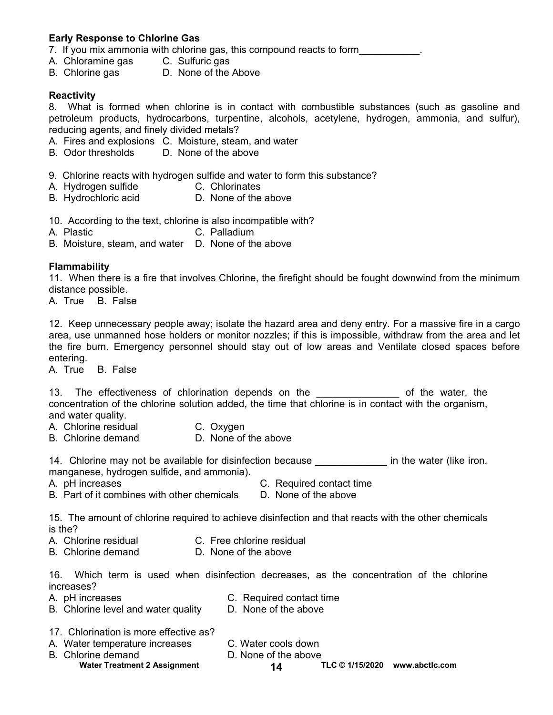#### **Early Response to Chlorine Gas**

- 7. If you mix ammonia with chlorine gas, this compound reacts to form **with the same of the set of the set of the set of the set of the set of the set of the set of the set of the set of the set of the set of the set of th**
- A. Chloramine gas C. Sulfuric gas
- B. Chlorine gas D. None of the Above

#### **Reactivity**

8. What is formed when chlorine is in contact with combustible substances (such as gasoline and petroleum products, hydrocarbons, turpentine, alcohols, acetylene, hydrogen, ammonia, and sulfur), reducing agents, and finely divided metals?

- A. Fires and explosions C. Moisture, steam, and water
- B. Odor thresholds D. None of the above
- 9. Chlorine reacts with hydrogen sulfide and water to form this substance?
- A. Hydrogen sulfide C. Chlorinates
- B. Hydrochloric acid **D.** None of the above
- 10. According to the text, chlorine is also incompatible with?
- A. Plastic C. Palladium
- B. Moisture, steam, and water D. None of the above

#### **Flammability**

11. When there is a fire that involves Chlorine, the firefight should be fought downwind from the minimum distance possible.

A. True B. False

12. Keep unnecessary people away; isolate the hazard area and deny entry. For a massive fire in a cargo area, use unmanned hose holders or monitor nozzles; if this is impossible, withdraw from the area and let the fire burn. Emergency personnel should stay out of low areas and Ventilate closed spaces before entering.

A. True B. False

13. The effectiveness of chlorination depends on the metal of the water, the concentration of the chlorine solution added, the time that chlorine is in contact with the organism, and water quality.

- A. Chlorine residual C. Oxygen
- B. Chlorine demand D. None of the above

14. Chlorine may not be available for disinfection because **with the water (like iron**, manganese, hydrogen sulfide, and ammonia).

- A. pH increases C. Required contact time
	-
- B. Part of it combines with other chemicals D. None of the above
- 

15. The amount of chlorine required to achieve disinfection and that reacts with the other chemicals is the?

- A. Chlorine residual C. Free chlorine residual
- B. Chlorine demand D. None of the above

16. Which term is used when disinfection decreases, as the concentration of the chlorine increases?

- 
- A. pH increases **C. Required contact time**
- B. Chlorine level and water quality D. None of the above
- 
- 17. Chlorination is more effective as?
- A. Water temperature increases C. Water cools down
	-
- B. Chlorine demand D. None of the above
	-
- 

Water Treatment 2 Assignment **14** TLC © 1/15/2020 www.abctlc.com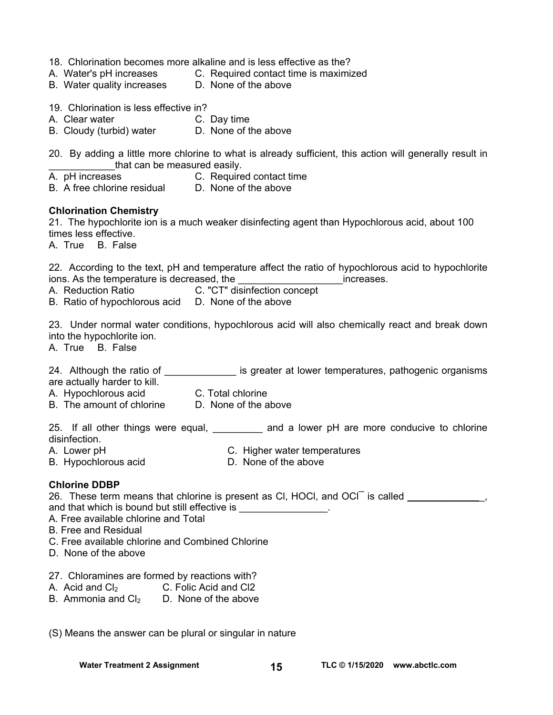|  | 18. Chlorination becomes more alkaline and is less effective as the? |  |  |  |  |  |  |  |
|--|----------------------------------------------------------------------|--|--|--|--|--|--|--|
|--|----------------------------------------------------------------------|--|--|--|--|--|--|--|

- A. Water's pH increases C. Required contact time is maximized
- B. Water quality increases D. None of the above
- 19. Chlorination is less effective in?
- A. Clear water C. Day time
- B. Cloudy (turbid) water D. None of the above

20. By adding a little more chlorine to what is already sufficient, this action will generally result in that can be measured easily.

- A. pH increases **C. Required contact time**
- B. A free chlorine residual D. None of the above

#### **Chlorination Chemistry**

21. The hypochlorite ion is a much weaker disinfecting agent than Hypochlorous acid, about 100 times less effective.

A. True B. False

22. According to the text, pH and temperature affect the ratio of hypochlorous acid to hypochlorite ions. As the temperature is decreased, the example of the setting increases.

A. Reduction Ratio **C.** "CT" disinfection concept

B. Ratio of hypochlorous acid D. None of the above

23. Under normal water conditions, hypochlorous acid will also chemically react and break down into the hypochlorite ion.

A. True B. False

24. Although the ratio of \_\_\_\_\_\_\_\_\_\_\_\_\_\_\_ is greater at lower temperatures, pathogenic organisms are actually harder to kill.

- A. Hypochlorous acid C. Total chlorine
- B. The amount of chlorine D. None of the above

25. If all other things were equal, \_\_\_\_\_\_\_\_ and a lower pH are more conducive to chlorine disinfection.

- A. Lower pH<br>B. Hypochlorous acid **C.** Higher water temperatures<br>D. None of the above
- B. Hypochlorous acid

#### **Chlorine DDBP**

26. These term means that chlorine is present as CI, HOCI, and OCI is called \_\_\_\_\_\_\_\_\_\_\_\_\_,

and that which is bound but still effective is \_\_\_\_\_\_\_\_\_\_\_\_\_\_\_\_.

- A. Free available chlorine and Total
- B. Free and Residual
- C. Free available chlorine and Combined Chlorine
- D. None of the above
- 27. Chloramines are formed by reactions with?
- A. Acid and  $Cl<sub>2</sub>$  C. Folic Acid and Cl2
- B. Ammonia and  $Cl<sub>2</sub>$  D. None of the above

(S) Means the answer can be plural or singular in nature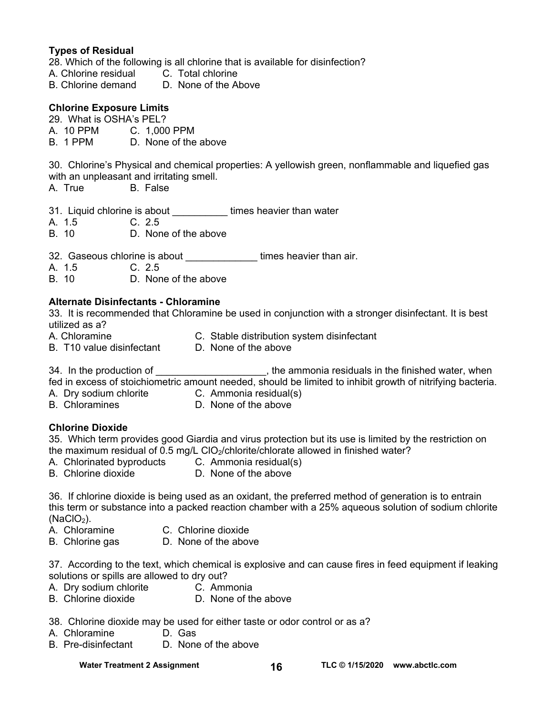#### **Types of Residual**

28. Which of the following is all chlorine that is available for disinfection?

- A. Chlorine residual C. Total chlorine
- B. Chlorine demand D. None of the Above

#### **Chlorine Exposure Limits**

- 29. What is OSHA's PEL?
- A. 10 PPM C. 1,000 PPM
- B. 1 PPM D. None of the above

30. Chlorine's Physical and chemical properties: A yellowish green, nonflammable and liquefied gas

- with an unpleasant and irritating smell.
- A. True B. False

31. Liquid chlorine is about **times heavier than water** 

- A. 1.5 C. 2.5
- B. 10 D. None of the above

32. Gaseous chlorine is about \_\_\_\_\_\_\_\_\_\_\_\_\_\_\_\_\_\_ times heavier than air.

- A. 1.5 C. 2.5<br>B 10 D Nor
- D. None of the above

#### **Alternate Disinfectants - Chloramine**

33. It is recommended that Chloramine be used in conjunction with a stronger disinfectant. It is best utilized as a?

- A. Chloramine C. Stable distribution system disinfectant
- 
- B. T10 value disinfectant D. None of the above

34. In the production of  $\qquad \qquad$ , the ammonia residuals in the finished water, when fed in excess of stoichiometric amount needed, should be limited to inhibit growth of nitrifying bacteria.

A. Dry sodium chlorite C. Ammonia residual(s)

- 
- 
- 
- B. Chloramines D. None of the above

#### **Chlorine Dioxide**

35. Which term provides good Giardia and virus protection but its use is limited by the restriction on the maximum residual of  $0.5$  mg/L CIO<sub>2</sub>/chlorite/chlorate allowed in finished water?

- 
- A. Chlorinated byproducts C. Ammonia residual(s)
- B. Chlorine dioxide D. None of the above

36. If chlorine dioxide is being used as an oxidant, the preferred method of generation is to entrain this term or substance into a packed reaction chamber with a 25% aqueous solution of sodium chlorite  $(NaClO<sub>2</sub>)$ .

- A. Chloramine C. Chlorine dioxide
- B. Chlorine gas D. None of the above

37. According to the text, which chemical is explosive and can cause fires in feed equipment if leaking solutions or spills are allowed to dry out?

- A. Dry sodium chlorite C. Ammonia
- B. Chlorine dioxide D. None of the above

38. Chlorine dioxide may be used for either taste or odor control or as a?

- A. Chloramine D. Gas
- B. Pre-disinfectant D. None of the above

Water Treatment 2 Assignment **16 TLC © 1/15/2020** www.abctlc.com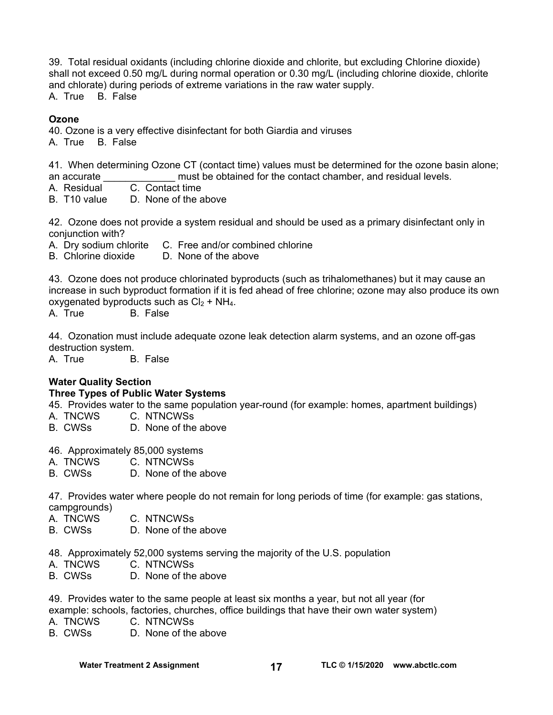39. Total residual oxidants (including chlorine dioxide and chlorite, but excluding Chlorine dioxide) shall not exceed 0.50 mg/L during normal operation or 0.30 mg/L (including chlorine dioxide, chlorite and chlorate) during periods of extreme variations in the raw water supply.

A. True B. False

#### **Ozone**

40. Ozone is a very effective disinfectant for both Giardia and viruses

A. True B. False

41. When determining Ozone CT (contact time) values must be determined for the ozone basin alone; an accurate **Exercise 2.** must be obtained for the contact chamber, and residual levels.

- A. Residual C. Contact time
- B. T10 value D. None of the above

42. Ozone does not provide a system residual and should be used as a primary disinfectant only in conjunction with?

- A. Dry sodium chlorite C. Free and/or combined chlorine
- B. Chlorine dioxide D. None of the above

43. Ozone does not produce chlorinated byproducts (such as trihalomethanes) but it may cause an increase in such byproduct formation if it is fed ahead of free chlorine; ozone may also produce its own oxygenated byproducts such as  $Cl<sub>2</sub> + NH<sub>4</sub>$ .

A. True B. False

44. Ozonation must include adequate ozone leak detection alarm systems, and an ozone off-gas destruction system.

A. True B. False

#### **Water Quality Section**

#### **Three Types of Public Water Systems**

45.Provides water to the same population year-round (for example: homes, apartment buildings)

- A. TNCWS C. NTNCWSs
- B. CWSs D. None of the above

46. Approximately 85,000 systems<br>A. TNCWS C. NTNCWSs

- A. TNCWS C. NTNCWSs
- B. CWSs D. None of the above

47. Provides water where people do not remain for long periods of time (for example: gas stations, campgrounds)

- A. TNCWS C. NTNCWSs
- B. CWSs D. None of the above
- 48. Approximately 52,000 systems serving the majority of the U.S. population
- A. TNCWS C. NTNCWSs
- B. CWSs D. None of the above

49.Provides water to the same people at least six months a year, but not all year (for

- example: schools, factories, churches, office buildings that have their own water system)
- A. TNCWS C. NTNCWSs
- B. CWSs D. None of the above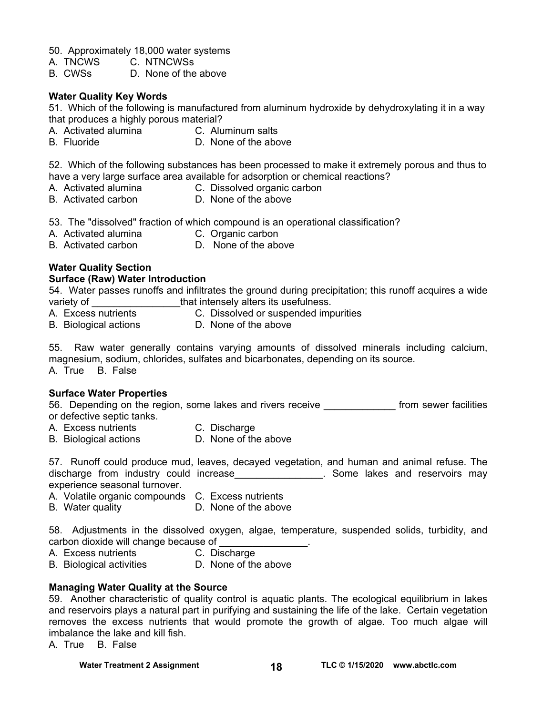50. Approximately 18,000 water systems

- A. TNCWS C. NTNCWSs
- B. CWSs D. None of the above

#### **Water Quality Key Words**

51. Which of the following is manufactured from aluminum hydroxide by dehydroxylating it in a way that produces a highly porous material?

- A. Activated alumina C. Aluminum salts
- B. Fluoride D. None of the above

52. Which of the following substances has been processed to make it extremely porous and thus to have a very large surface area available for adsorption or chemical reactions?

- A. Activated alumina C. Dissolved organic carbon
- 
- B. Activated carbon D. None of the above
- 53. The "dissolved" fraction of which compound is an operational classification?
- A. Activated alumina C. Organic carbon
- B. Activated carbon D. None of the above
- 

## **Water Quality Section**

#### **Surface (Raw) Water Introduction**

54. Water passes runoffs and infiltrates the ground during precipitation; this runoff acquires a wide variety of \_\_\_\_\_\_\_\_\_\_\_\_\_\_\_\_that intensely alters its usefulness.

- 
- C. Dissolved or suspended impurities
- B. Biological actions D. None of the above

55. Raw water generally contains varying amounts of dissolved minerals including calcium, magnesium, sodium, chlorides, sulfates and bicarbonates, depending on its source.

A. True B. False

#### **Surface Water Properties**

56. Depending on the region, some lakes and rivers receive **the seat of the seat of rom sewer facilities** or defective septic tanks.

- A. Excess nutrients C. Discharge
	-
- B. Biological actions D. None of the above

57. Runoff could produce mud, leaves, decayed vegetation, and human and animal refuse. The discharge from industry could increase\_\_\_\_\_\_\_\_\_\_\_\_\_\_\_\_. Some lakes and reservoirs may experience seasonal turnover.

- A. Volatile organic compounds C. Excess nutrients
	-
- B. Water quality **D. None of the above**

58. Adjustments in the dissolved oxygen, algae, temperature, suspended solids, turbidity, and carbon dioxide will change because of

- A. Excess nutrients C. Discharge
	-
- B. Biological activities D. None of the above

#### **Managing Water Quality at the Source**

59. Another characteristic of quality control is aquatic plants. The ecological equilibrium in lakes and reservoirs plays a natural part in purifying and sustaining the life of the lake. Certain vegetation removes the excess nutrients that would promote the growth of algae. Too much algae will imbalance the lake and kill fish.

A. True B. False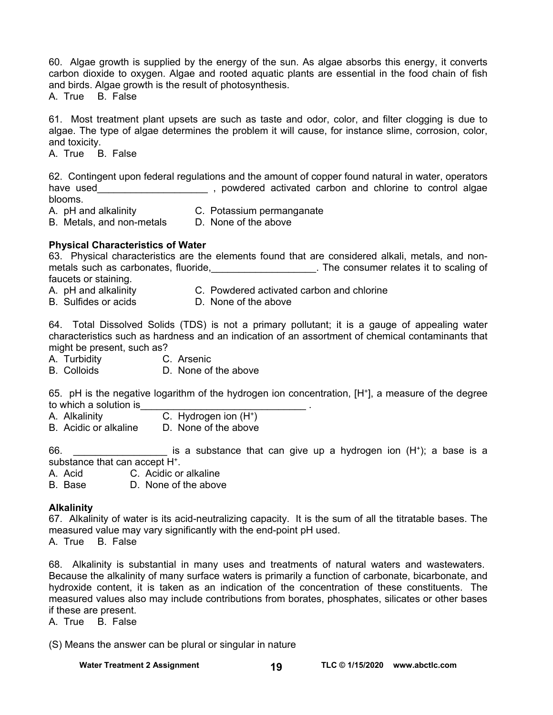60. Algae growth is supplied by the energy of the sun. As algae absorbs this energy, it converts carbon dioxide to oxygen. Algae and rooted aquatic plants are essential in the food chain of fish and birds. Algae growth is the result of photosynthesis.

A. True B. False

61. Most treatment plant upsets are such as taste and odor, color, and filter clogging is due to algae. The type of algae determines the problem it will cause, for instance slime, corrosion, color, and toxicity.

A. True B. False

62. Contingent upon federal regulations and the amount of copper found natural in water, operators have used\_\_\_\_\_\_\_\_\_\_\_\_\_\_\_\_\_\_\_\_\_\_\_\_\_\_\_\_\_\_, powdered activated carbon and chlorine to control algae blooms.

- A. pH and alkalinity C. Potassium permanganate
- B. Metals, and non-metals D. None of the above
- **Physical Characteristics of Water**

63. Physical characteristics are the elements found that are considered alkali, metals, and nonmetals such as carbonates, fluoride, the consumer relates it to scaling of faucets or staining.

- 
- A. pH and alkalinity C. Powdered activated carbon and chlorine
- 
- B. Sulfides or acids **D. None of the above**

64. Total Dissolved Solids (TDS) is not a primary pollutant; it is a gauge of appealing water characteristics such as hardness and an indication of an assortment of chemical contaminants that might be present, such as?

- A. Turbidity C. Arsenic
- B. Colloids D. None of the above

65. pH is the negative logarithm of the hydrogen ion concentration, [H+], a measure of the degree to which a solution is

- A. Alkalinity C. Hydrogen ion (H+)
- B. Acidic or alkaline D. None of the above

66.  $\blacksquare$  is a substance that can give up a hydrogen ion  $(H^*)$ ; a base is a substance that can accept H+.

A. Acid C. Acidic or alkaline

B. Base D. None of the above

#### **Alkalinity**

67. Alkalinity of water is its acid-neutralizing capacity. It is the sum of all the titratable bases. The measured value may vary significantly with the end-point pH used.

A. True B. False

68. Alkalinity is substantial in many uses and treatments of natural waters and wastewaters. Because the alkalinity of many surface waters is primarily a function of carbonate, bicarbonate, and hydroxide content, it is taken as an indication of the concentration of these constituents. The measured values also may include contributions from borates, phosphates, silicates or other bases if these are present.

A. True B. False

(S) Means the answer can be plural or singular in nature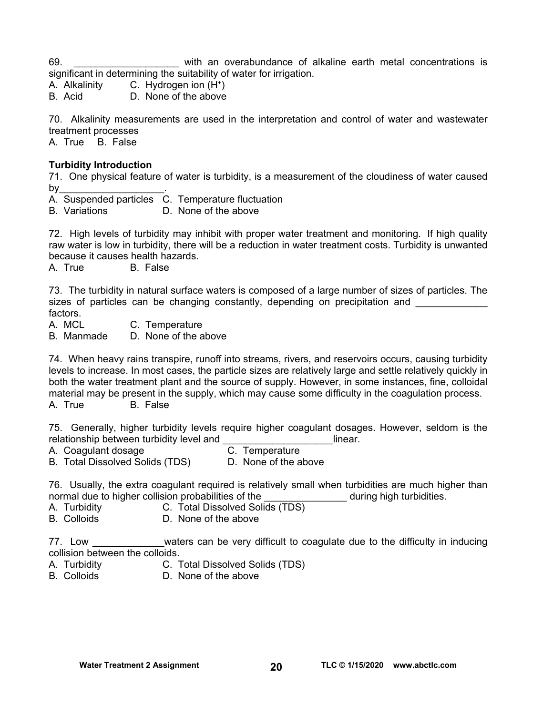69. \_\_\_\_\_\_\_\_\_\_\_\_\_\_\_\_\_\_\_ with an overabundance of alkaline earth metal concentrations is significant in determining the suitability of water for irrigation.

A. Alkalinity C. Hydrogen ion (H+)

B. Acid D. None of the above

70. Alkalinity measurements are used in the interpretation and control of water and wastewater treatment processes

A. True B. False

#### **Turbidity Introduction**

71. One physical feature of water is turbidity, is a measurement of the cloudiness of water caused  $bv$ 

A. Suspended particles C. Temperature fluctuation

B. Variations D. None of the above

72. High levels of turbidity may inhibit with proper water treatment and monitoring. If high quality raw water is low in turbidity, there will be a reduction in water treatment costs. Turbidity is unwanted because it causes health hazards.

A. True B. False

73. The turbidity in natural surface waters is composed of a large number of sizes of particles. The sizes of particles can be changing constantly, depending on precipitation and factors.

A. MCL C. Temperature

B. Manmade D. None of the above

74. When heavy rains transpire, runoff into streams, rivers, and reservoirs occurs, causing turbidity levels to increase. In most cases, the particle sizes are relatively large and settle relatively quickly in both the water treatment plant and the source of supply. However, in some instances, fine, colloidal material may be present in the supply, which may cause some difficulty in the coagulation process. A. True B. False

75. Generally, higher turbidity levels require higher coagulant dosages. However, seldom is the relationship between turbidity level and \_\_\_\_\_\_\_\_\_\_\_\_\_\_\_\_\_\_\_\_\_\_\_\_\_\_\_\_\_\_\_\_\_linear.<br>A. Coaquiant dosage densing C. Temperature

- 
- 

A. Coagulant dosage C. Temperature<br>B. Total Dissolved Solids (TDS) D. None of the above B. Total Dissolved Solids (TDS)

76. Usually, the extra coagulant required is relatively small when turbidities are much higher than normal due to higher collision probabilities of the during high turbidities.

- A. Turbidity C. Total Dissolved Solids (TDS)
- B. Colloids D. None of the above

77. Low **EXECUTE:** waters can be very difficult to coagulate due to the difficulty in inducing collision between the colloids.

- A. Turbidity C. Total Dissolved Solids (TDS)
- B. Colloids D. None of the above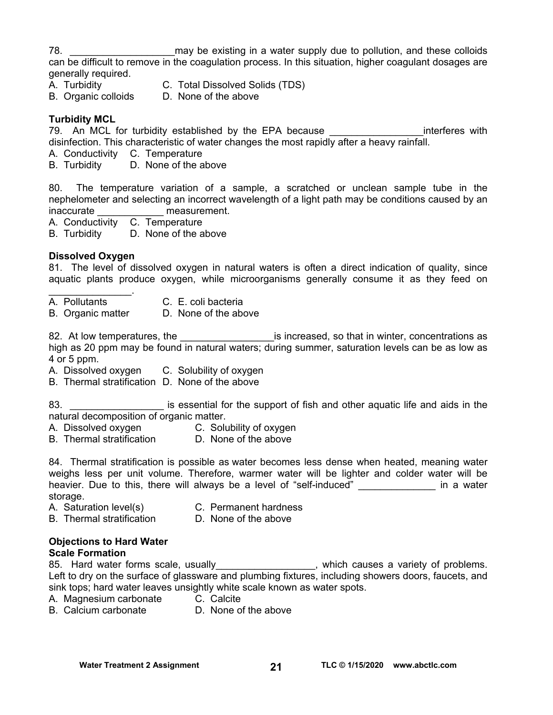78. **The same of the supply due to pollution**, and these colloids and these colloids can be difficult to remove in the coagulation process. In this situation, higher coagulant dosages are generally required.

- 
- A. Turbidity C. Total Dissolved Solids (TDS)
- B. Organic colloids D. None of the above

#### **Turbidity MCL**

79. An MCL for turbidity established by the EPA because The Contract enterferes with disinfection. This characteristic of water changes the most rapidly after a heavy rainfall.

- A. Conductivity C. Temperature
- B. Turbidity D. None of the above

80. The temperature variation of a sample, a scratched or unclean sample tube in the nephelometer and selecting an incorrect wavelength of a light path may be conditions caused by an inaccurate measurement.

A. Conductivity C. Temperature

B. Turbidity D. None of the above

#### **Dissolved Oxygen**

81. The level of dissolved oxygen in natural waters is often a direct indication of quality, since aquatic plants produce oxygen, while microorganisms generally consume it as they feed on

- $\mathcal{L}_\text{max}$  , where  $\mathcal{L}_\text{max}$ A. Pollutants C. E. coli bacteria
- B. Organic matter D. None of the above

82. At low temperatures, the electronic is increased, so that in winter, concentrations as high as 20 ppm may be found in natural waters; during summer, saturation levels can be as low as 4 or 5 ppm.

- A. Dissolved oxygen C. Solubility of oxygen
- B. Thermal stratification D. None of the above

83. \_\_\_\_\_\_\_\_\_\_\_\_\_\_\_\_\_\_\_\_\_ is essential for the support of fish and other aquatic life and aids in the natural decomposition of organic matter.

- A. Dissolved oxygen C. Solubility of oxygen
- B. Thermal stratification D. None of the above

84. Thermal stratification is possible as water becomes less dense when heated, meaning water weighs less per unit volume. Therefore, warmer water will be lighter and colder water will be heavier. Due to this, there will always be a level of "self-induced" and the same in a water storage.

- A. Saturation level(s) C. Permanent hardness
	-
- B. Thermal stratification D. None of the above

#### **Objections to Hard Water**

#### **Scale Formation**

85. Hard water forms scale, usually\_\_\_\_\_\_\_\_\_\_\_\_\_\_\_\_\_, which causes a variety of problems. Left to dry on the surface of glassware and plumbing fixtures, including showers doors, faucets, and sink tops; hard water leaves unsightly white scale known as water spots.

- A. Magnesium carbonate C. Calcite
- B. Calcium carbonate D. None of the above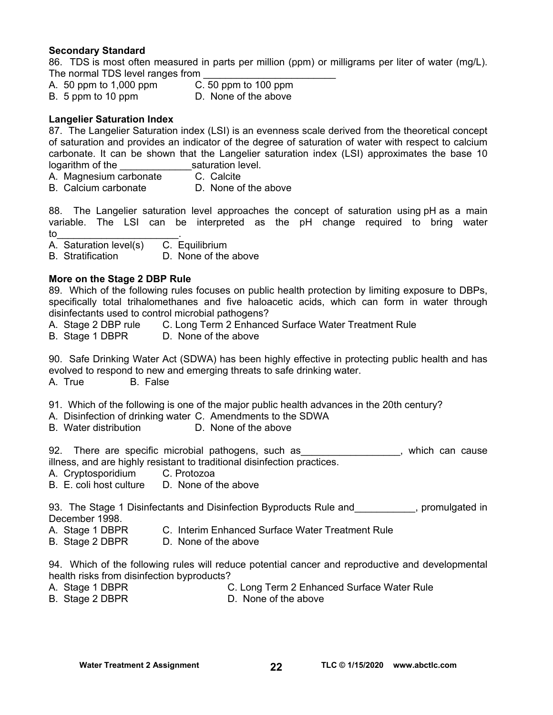#### **Secondary Standard**

86. TDS is most often measured in parts per million (ppm) or milligrams per liter of water (mg/L). The normal TDS level ranges from

- A. 50 ppm to 1,000 ppm C. 50 ppm to 100 ppm
- B. 5 ppm to 10 ppm D. None of the above

#### **Langelier Saturation Index**

87. The Langelier Saturation index (LSI) is an evenness scale derived from the theoretical concept of saturation and provides an indicator of the degree of saturation of water with respect to calcium carbonate. It can be shown that the Langelier saturation index (LSI) approximates the base 10 logarithm of the saturation level.

- A. Magnesium carbonate C. Calcite
- B. Calcium carbonate D. None of the above

88. The Langelier saturation level approaches the concept of saturation using pH as a main variable. The LSI can be interpreted as the pH change required to bring water to the set of  $\sim$  . The set of  $\sim$   $\sim$ 

A. Saturation level(s) C. Equilibrium

B. Stratification D. None of the above

#### **More on the Stage 2 DBP Rule**

89. Which of the following rules focuses on public health protection by limiting exposure to DBPs, specifically total trihalomethanes and five haloacetic acids, which can form in water through disinfectants used to control microbial pathogens?

- A. Stage 2 DBP rule C. Long Term 2 Enhanced Surface Water Treatment Rule
- B. Stage 1 DBPR D. None of the above

90. Safe Drinking Water Act (SDWA) has been highly effective in protecting public health and has evolved to respond to new and emerging threats to safe drinking water.

A. True B. False

91. Which of the following is one of the major public health advances in the 20th century?

- A. Disinfection of drinking water C. Amendments to the SDWA
- B. Water distribution **D. None of the above**

92. There are specific microbial pathogens, such as example that which can cause illness, and are highly resistant to traditional disinfection practices.

- A. Cryptosporidium C. Protozoa
- B. E. coli host culture D. None of the above

93. The Stage 1 Disinfectants and Disinfection Byproducts Rule and \_\_\_\_\_\_\_\_\_\_, promulgated in December 1998.

- A. Stage 1 DBPR C. Interim Enhanced Surface Water Treatment Rule
- B. Stage 2 DBPR D. None of the above

94. Which of the following rules will reduce potential cancer and reproductive and developmental health risks from disinfection byproducts?

- A. Stage 1 DBPR C. Long Term 2 Enhanced Surface Water Rule
- B. Stage 2 DBPR D. None of the above
-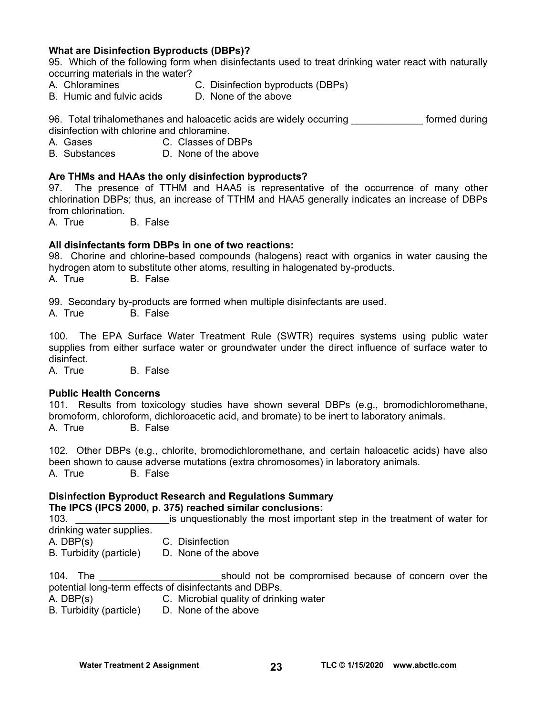#### **What are Disinfection Byproducts (DBPs)?**

95. Which of the following form when disinfectants used to treat drinking water react with naturally occurring materials in the water?

- 
- A. Chloramines C. Disinfection byproducts (DBPs)
- B. Humic and fulvic acids D. None of the above

96. Total trihalomethanes and haloacetic acids are widely occurring entity formed during disinfection with chlorine and chloramine.

A. Gases C. Classes of DBPs

B. Substances D. None of the above

#### **Are THMs and HAAs the only disinfection byproducts?**

97. The presence of TTHM and HAA5 is representative of the occurrence of many other chlorination DBPs; thus, an increase of TTHM and HAA5 generally indicates an increase of DBPs from chlorination.

A. True B. False

#### **All disinfectants form DBPs in one of two reactions:**

98. Chorine and chlorine-based compounds (halogens) react with organics in water causing the hydrogen atom to substitute other atoms, resulting in halogenated by-products. A. True B. False

99. Secondary by-products are formed when multiple disinfectants are used.

A. True B. False

100. The EPA Surface Water Treatment Rule (SWTR) requires systems using public water supplies from either surface water or groundwater under the direct influence of surface water to disinfect.

A. True B. False

#### **Public Health Concerns**

101. Results from toxicology studies have shown several DBPs (e.g., bromodichloromethane, bromoform, chloroform, dichloroacetic acid, and bromate) to be inert to laboratory animals. A. True B. False

102. Other DBPs (e.g., chlorite, bromodichloromethane, and certain haloacetic acids) have also been shown to cause adverse mutations (extra chromosomes) in laboratory animals. A. True B. False

#### **Disinfection Byproduct Research and Regulations Summary The IPCS (IPCS 2000, p. 375) reached similar conclusions:**

103. \_\_\_\_\_\_\_\_\_\_\_\_\_\_\_\_\_is unquestionably the most important step in the treatment of water for drinking water supplies.

A. DBP(s) C. Disinfection

B. Turbidity (particle) D. None of the above

104. The **the compromised because of concern over the** should not be compromised because of concern over the potential long-term effects of disinfectants and DBPs.

A. DBP(s) C. Microbial quality of drinking water

B. Turbidity (particle) D. None of the above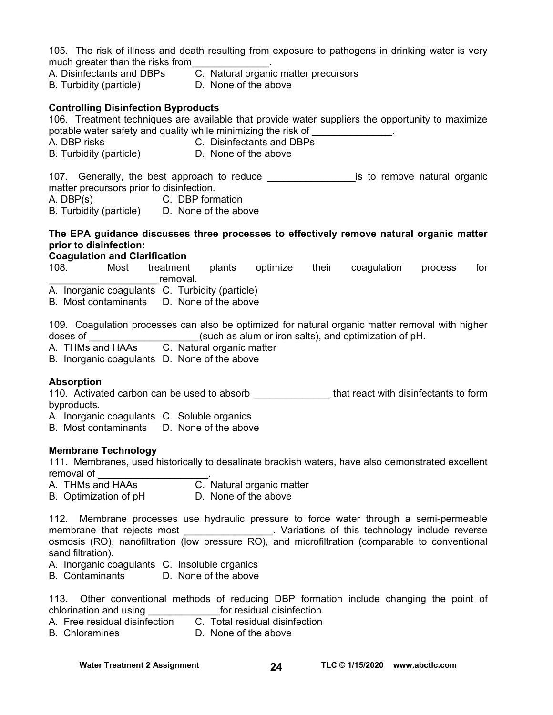105. The risk of illness and death resulting from exposure to pathogens in drinking water is very much greater than the risks from

- A. Disinfectants and DBPs C. Natural organic matter precursors
	-
- B. Turbidity (particle) D. None of the above

#### **Controlling Disinfection Byproducts**

106. Treatment techniques are available that provide water suppliers the opportunity to maximize potable water safety and quality while minimizing the risk of

- A. DBP risks C. Disinfectants and DBPs
- B. Turbidity (particle) D. None of the above

107. Generally, the best approach to reduce \_\_\_\_\_\_\_\_\_\_\_\_\_\_\_\_\_\_\_\_\_is to remove natural organic matter precursors prior to disinfection.

- A. DBP(s) C. DBP formation
- B. Turbidity (particle) D. None of the above

#### **The EPA guidance discusses three processes to effectively remove natural organic matter prior to disinfection:**

#### **Coagulation and Clarification**

108. Most treatment plants optimize their coagulation process for removal.

- A. Inorganic coagulants C. Turbidity (particle)
- B. Most contaminants D. None of the above

109. Coagulation processes can also be optimized for natural organic matter removal with higher doses of  $\Box$   $\Box$  (such as alum or iron salts), and optimization of pH.

- A. THMs and HAAs C. Natural organic matter
- B. Inorganic coagulants D. None of the above

#### **Absorption**

110. Activated carbon can be used to absorb **that react with disinfectants to form** byproducts.

A. Inorganic coagulants C. Soluble organics

B. Most contaminants D. None of the above

#### **Membrane Technology**

111. Membranes, used historically to desalinate brackish waters, have also demonstrated excellent removal of

- A. THMs and HAAs C. Natural organic matter
- B. Optimization of pH D. None of the above

112. Membrane processes use hydraulic pressure to force water through a semi-permeable membrane that rejects most expansion of this technology include reverse osmosis (RO), nanofiltration (low pressure RO), and microfiltration (comparable to conventional sand filtration).

- A. Inorganic coagulants C. Insoluble organics
- B. Contaminants D. None of the above

113. Other conventional methods of reducing DBP formation include changing the point of chlorination and using \_\_\_\_\_\_\_\_\_\_\_\_\_for residual disinfection.

- $\overline{C}$ . Total residual disinfection
- B. Chloramines D. None of the above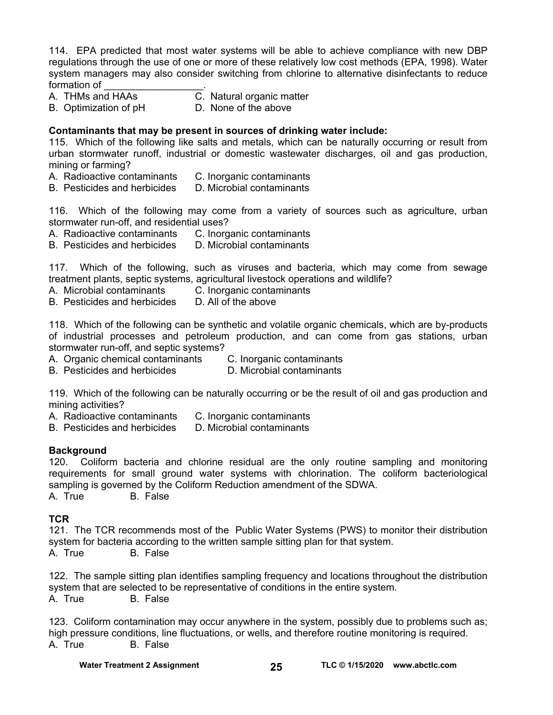114. EPA predicted that most water systems will be able to achieve compliance with new DBP regulations through the use of one or more of these relatively low cost methods (EPA, 1998). Water system managers may also consider switching from chlorine to alternative disinfectants to reduce formation of

- A. THMs and HAAs C. Natural organic matter
- 
- 
- B. Optimization of pH D. None of the above

#### **Contaminants that may be present in sources of drinking water include:**

115. Which of the following like salts and metals, which can be naturally occurring or result from urban stormwater runoff, industrial or domestic wastewater discharges, oil and gas production, mining or farming?

- A. Radioactive contaminants C. Inorganic contaminants
- B. Pesticides and herbicides D. Microbial contaminants

116. Which of the following may come from a variety of sources such as agriculture, urban stormwater run-off, and residential uses?

A. Radioactive contaminants C. Inorganic contaminants

B. Pesticides and herbicides D. Microbial contaminants

117. Which of the following, such as viruses and bacteria, which may come from sewage treatment plants, septic systems, agricultural livestock operations and wildlife?

- A. Microbial contaminants C. Inorganic contaminants
- B. Pesticides and herbicides D. All of the above

118. Which of the following can be synthetic and volatile organic chemicals, which are by-products of industrial processes and petroleum production, and can come from gas stations, urban stormwater run-off, and septic systems?

- A. Organic chemical contaminants C. Inorganic contaminants
- B. Pesticides and herbicides **D. Microbial contaminants**
- 

119. Which of the following can be naturally occurring or be the result of oil and gas production and mining activities?

- A. Radioactive contaminants C. Inorganic contaminants
- B. Pesticides and herbicides D. Microbial contaminants

#### **Background**

120. Coliform bacteria and chlorine residual are the only routine sampling and monitoring requirements for small ground water systems with chlorination. The coliform bacteriological sampling is governed by the Coliform Reduction amendment of the SDWA.

A. True B. False

#### **TCR**

121. The TCR recommends most of the Public Water Systems (PWS) to monitor their distribution system for bacteria according to the written sample sitting plan for that system.

A. True B. False

122. The sample sitting plan identifies sampling frequency and locations throughout the distribution system that are selected to be representative of conditions in the entire system. A. True B. False

123. Coliform contamination may occur anywhere in the system, possibly due to problems such as; high pressure conditions, line fluctuations, or wells, and therefore routine monitoring is required. A. True B. False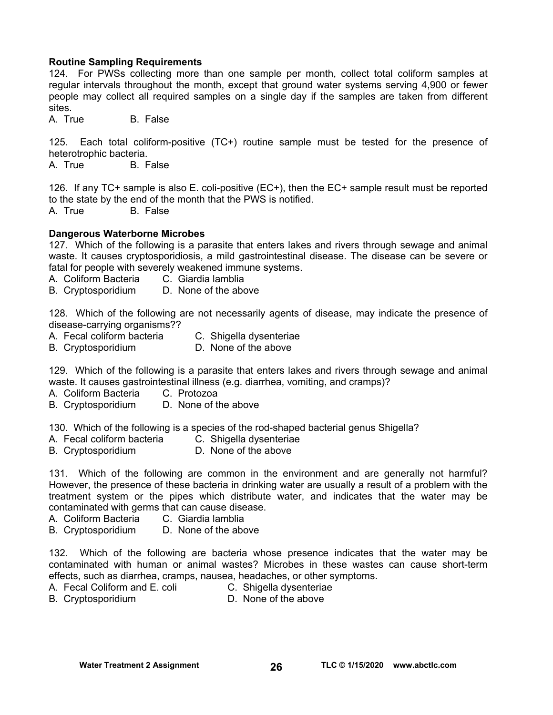#### **Routine Sampling Requirements**

124. For PWSs collecting more than one sample per month, collect total coliform samples at regular intervals throughout the month, except that ground water systems serving 4,900 or fewer people may collect all required samples on a single day if the samples are taken from different sites.<br>A True

**B.** False

125. Each total coliform-positive (TC+) routine sample must be tested for the presence of heterotrophic bacteria.

A. True B. False

126. If any TC+ sample is also E. coli-positive (EC+), then the EC+ sample result must be reported to the state by the end of the month that the PWS is notified.

A. True B. False

#### **Dangerous Waterborne Microbes**

127. Which of the following is a parasite that enters lakes and rivers through sewage and animal waste. It causes cryptosporidiosis, a mild gastrointestinal disease. The disease can be severe or fatal for people with severely weakened immune systems.

- A. Coliform Bacteria C. Giardia lamblia<br>B. Cryptosporidium D. None of the above
- B. Cryptosporidium

128. Which of the following are not necessarily agents of disease, may indicate the presence of disease-carrying organisms??

- A. Fecal coliform bacteria C. Shigella dysenteriae
- B. Cryptosporidium D. None of the above

129. Which of the following is a parasite that enters lakes and rivers through sewage and animal waste. It causes gastrointestinal illness (e.g. diarrhea, vomiting, and cramps)?

- A. Coliform Bacteria C. Protozoa
- B. Cryptosporidium D. None of the above

130. Which of the following is a species of the rod-shaped bacterial genus Shigella?

- A. Fecal coliform bacteria C. Shigella dysenteriae
- B. Cryptosporidium D. None of the above

131. Which of the following are common in the environment and are generally not harmful? However, the presence of these bacteria in drinking water are usually a result of a problem with the treatment system or the pipes which distribute water, and indicates that the water may be contaminated with germs that can cause disease.

- A. Coliform Bacteria C. Giardia lamblia
- B. Cryptosporidium D. None of the above

132. Which of the following are bacteria whose presence indicates that the water may be contaminated with human or animal wastes? Microbes in these wastes can cause short-term effects, such as diarrhea, cramps, nausea, headaches, or other symptoms.

- A. Fecal Coliform and E. coli C. Shigella dysenteriae
	-
- B. Cryptosporidium D. None of the above
	-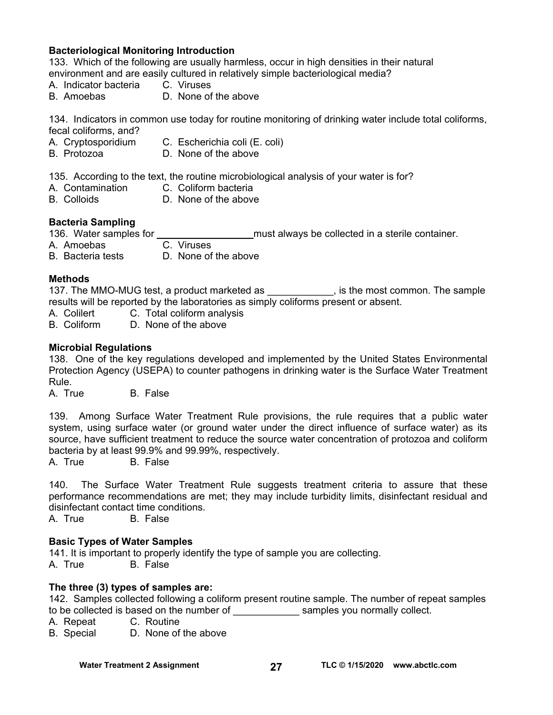#### **Bacteriological Monitoring Introduction**

133. Which of the following are usually harmless, occur in high densities in their natural environment and are easily cultured in relatively simple bacteriological media?

- A. Indicator bacteria C. Viruses
- B. Amoebas D. None of the above

134. Indicators in common use today for routine monitoring of drinking water include total coliforms,

- fecal coliforms, and? C. Escherichia coli (E. coli)
- B. Protozoa D. None of the above

135. According to the text, the routine microbiological analysis of your water is for?

- A. Contamination C. Coliform bacteria
- B. Colloids D. None of the above

#### **Bacteria Sampling**

136. Water samples for \_\_\_\_\_\_\_\_\_\_\_\_\_\_\_\_\_\_\_\_\_\_ must always be collected in a sterile container.

- A. Amoebas C. Viruses
- B. Bacteria tests D. None of the above

#### **Methods**

137. The MMO-MUG test, a product marketed as \_\_\_\_\_\_\_\_\_\_\_\_, is the most common. The sample results will be reported by the laboratories as simply coliforms present or absent.

- A. Colilert C. Total coliform analysis
- B. Coliform D. None of the above

#### **Microbial Regulations**

138. One of the key regulations developed and implemented by the United States Environmental Protection Agency (USEPA) to counter pathogens in drinking water is the Surface Water Treatment Rule.

A. True B. False

139. Among Surface Water Treatment Rule provisions, the rule requires that a public water system, using surface water (or ground water under the direct influence of surface water) as its source, have sufficient treatment to reduce the source water concentration of protozoa and coliform bacteria by at least 99.9% and 99.99%, respectively.

B. False

140. The Surface Water Treatment Rule suggests treatment criteria to assure that these performance recommendations are met; they may include turbidity limits, disinfectant residual and disinfectant contact time conditions.

A. True B. False

#### **Basic Types of Water Samples**

141. It is important to properly identify the type of sample you are collecting.

A. True B. False

#### **The three (3) types of samples are:**

142. Samples collected following a coliform present routine sample. The number of repeat samples to be collected is based on the number of election of the samples you normally collect.

- A. Repeat C. Routine
- B. Special D. None of the above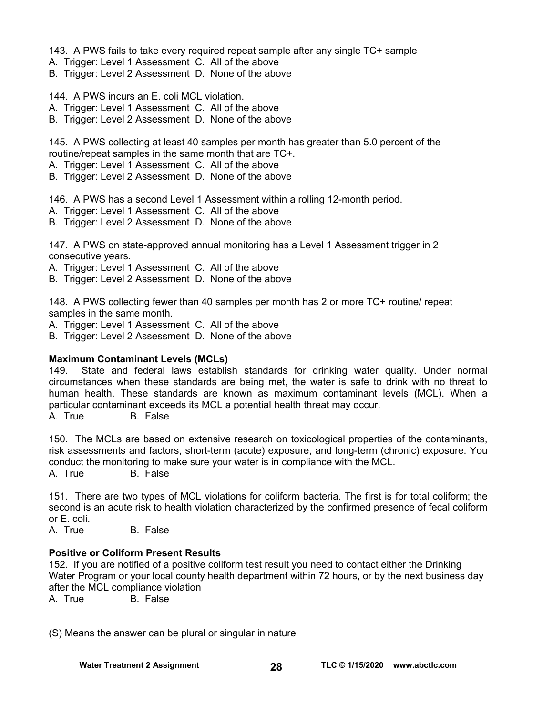143. A PWS fails to take every required repeat sample after any single TC+ sample

A. Trigger: Level 1 Assessment C. All of the above

B. Trigger: Level 2 Assessment D. None of the above

144. A PWS incurs an E. coli MCL violation.

A. Trigger: Level 1 Assessment C. All of the above

B. Trigger: Level 2 Assessment D. None of the above

145. A PWS collecting at least 40 samples per month has greater than 5.0 percent of the routine/repeat samples in the same month that are TC+.

A. Trigger: Level 1 Assessment C. All of the above

B. Trigger: Level 2 Assessment D. None of the above

146. A PWS has a second Level 1 Assessment within a rolling 12-month period.

A. Trigger: Level 1 Assessment C. All of the above

B. Trigger: Level 2 Assessment D. None of the above

147. A PWS on state-approved annual monitoring has a Level 1 Assessment trigger in 2 consecutive years.

A. Trigger: Level 1 Assessment C. All of the above

B. Trigger: Level 2 Assessment D. None of the above

148. A PWS collecting fewer than 40 samples per month has 2 or more TC+ routine/ repeat samples in the same month.

A. Trigger: Level 1 Assessment C. All of the above

B. Trigger: Level 2 Assessment D. None of the above

#### **Maximum Contaminant Levels (MCLs)**

149. State and federal laws establish standards for drinking water quality. Under normal circumstances when these standards are being met, the water is safe to drink with no threat to human health. These standards are known as maximum contaminant levels (MCL). When a particular contaminant exceeds its MCL a potential health threat may occur.

A. True B. False

150. The MCLs are based on extensive research on toxicological properties of the contaminants, risk assessments and factors, short-term (acute) exposure, and long-term (chronic) exposure. You conduct the monitoring to make sure your water is in compliance with the MCL.

A. True B. False

151. There are two types of MCL violations for coliform bacteria. The first is for total coliform; the second is an acute risk to health violation characterized by the confirmed presence of fecal coliform or E. coli.

A. True B. False

#### **Positive or Coliform Present Results**

152. If you are notified of a positive coliform test result you need to contact either the Drinking Water Program or your local county health department within 72 hours, or by the next business day after the MCL compliance violation

A. True B. False

(S) Means the answer can be plural or singular in nature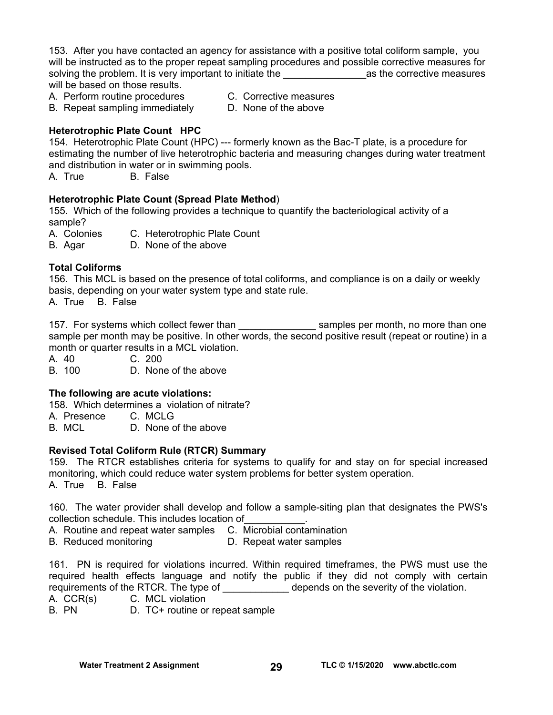153. After you have contacted an agency for assistance with a positive total coliform sample, you will be instructed as to the proper repeat sampling procedures and possible corrective measures for solving the problem. It is very important to initiate the **we are all as the corrective measures** will be based on those results.

A. Perform routine procedures C. Corrective measures

- B. Repeat sampling immediately D. None of the above
- 
- **Heterotrophic Plate Count HPC**

154. Heterotrophic Plate Count (HPC) --- formerly known as the Bac-T plate, is a procedure for estimating the number of live heterotrophic bacteria and measuring changes during water treatment and distribution in water or in swimming pools.

A. True B. False

#### **Heterotrophic Plate Count (Spread Plate Method**)

155. Which of the following provides a technique to quantify the bacteriological activity of a sample?

A. Colonies C. Heterotrophic Plate Count

B. Agar D. None of the above

#### **Total Coliforms**

156. This MCL is based on the presence of total coliforms, and compliance is on a daily or weekly basis, depending on your water system type and state rule.

A. True B. False

157. For systems which collect fewer than the samples per month, no more than one sample per month may be positive. In other words, the second positive result (repeat or routine) in a month or quarter results in a MCL violation.

A. 40 C. 200

B. 100 D. None of the above

#### **The following are acute violations:**

158. Which determines a violation of nitrate?

A. Presence C. MCLG

B. MCL D. None of the above

#### **Revised Total Coliform Rule (RTCR) Summary**

159. The RTCR establishes criteria for systems to qualify for and stay on for special increased monitoring, which could reduce water system problems for better system operation. A. True B. False

160. The water provider shall develop and follow a sample-siting plan that designates the PWS's collection schedule. This includes location of\_\_\_\_\_\_\_\_\_\_\_.

A. Routine and repeat water samples C. Microbial contamination<br>B. Reduced monitoring D. Repeat water samples

D. Repeat water samples

161. PN is required for violations incurred. Within required timeframes, the PWS must use the required health effects language and notify the public if they did not comply with certain requirements of the RTCR. The type of \_\_\_\_\_\_\_\_\_\_\_\_\_\_ depends on the severity of the violation.

A. CCR(s) C. MCL violation

B. PN D. TC+ routine or repeat sample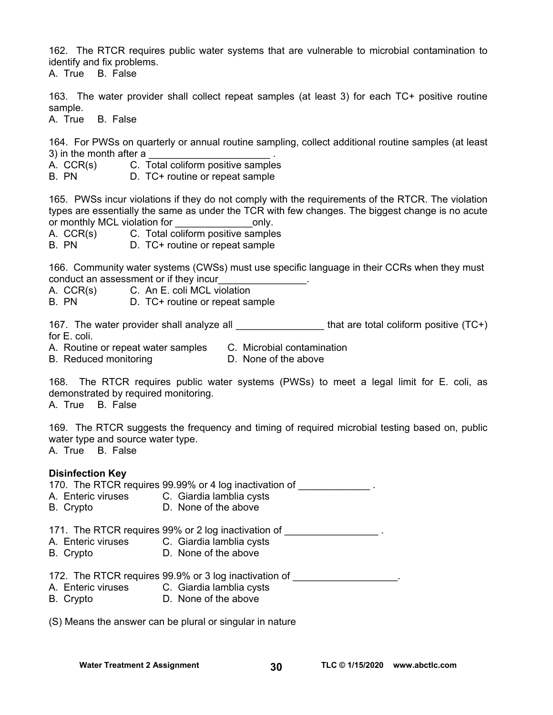162. The RTCR requires public water systems that are vulnerable to microbial contamination to identify and fix problems.

A. True B. False

163. The water provider shall collect repeat samples (at least 3) for each TC+ positive routine sample.

A. True B. False

164. For PWSs on quarterly or annual routine sampling, collect additional routine samples (at least 3) in the month after a

A. CCR(s) C. Total coliform positive samples

B. PN D. TC+ routine or repeat sample

165. PWSs incur violations if they do not comply with the requirements of the RTCR. The violation types are essentially the same as under the TCR with few changes. The biggest change is no acute or monthly MCL violation for example only.

A. CCR(s) C. Total coliform positive samples

B. PN D. TC+ routine or repeat sample

166. Community water systems (CWSs) must use specific language in their CCRs when they must conduct an assessment or if they incur\_\_\_\_\_\_\_\_\_\_\_\_\_\_\_\_.

A. CCR(s) C. An E. coli MCL violation

B. PN D. TC+ routine or repeat sample

167. The water provider shall analyze all  $\blacksquare$  that are total coliform positive (TC+) for E. coli.

A. Routine or repeat water samples C. Microbial contamination

B. Reduced monitoring **D.** None of the above

168. The RTCR requires public water systems (PWSs) to meet a legal limit for E. coli, as demonstrated by required monitoring.

A. True B. False

169. The RTCR suggests the frequency and timing of required microbial testing based on, public water type and source water type. A. True B. False

**Disinfection Key** 

| A. Enteric viruses<br>B. Crypto | 170. The RTCR requires 99.99% or 4 log inactivation of<br>C. Giardia lamblia cysts<br>D. None of the above |  |
|---------------------------------|------------------------------------------------------------------------------------------------------------|--|
|                                 | 171. The RTCR requires 99% or 2 log inactivation of                                                        |  |
|                                 | A. Enteric viruses C. Giardia lamblia cysts                                                                |  |
| B. Crypto                       | D. None of the above                                                                                       |  |
|                                 | 172. The RTCR requires 99.9% or 3 log inactivation of                                                      |  |
|                                 | A. Enteric viruses C. Giardia lamblia cysts                                                                |  |

B. Crypto D. None of the above

(S) Means the answer can be plural or singular in nature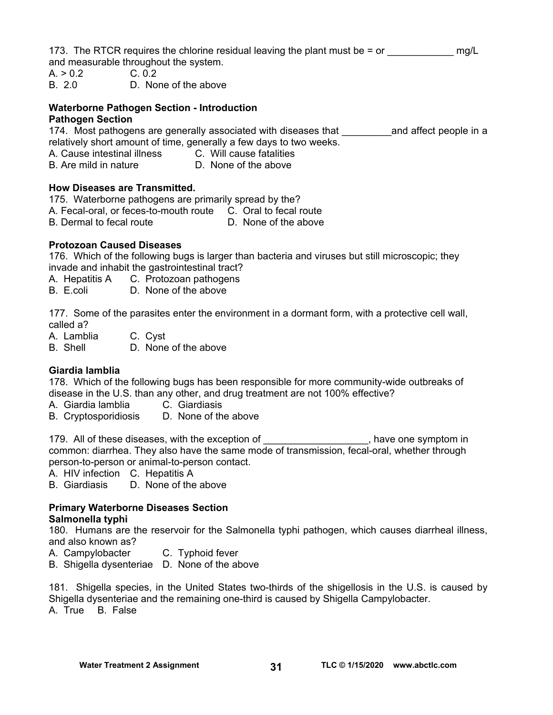173. The RTCR requires the chlorine residual leaving the plant must be  $=$  or  $\frac{mgl}{L}$ 

and measurable throughout the system.

- $A. > 0.2$  C. 0.2
- B. 2.0 D. None of the above

## **Waterborne Pathogen Section - Introduction**

#### **Pathogen Section**

174. Most pathogens are generally associated with diseases that \_\_\_\_\_\_\_\_\_\_\_and affect people in a relatively short amount of time, generally a few days to two weeks.

- A. Cause intestinal illness C. Will cause fatalities
- B. Are mild in nature D. None of the above

#### **How Diseases are Transmitted.**

- 175. Waterborne pathogens are primarily spread by the?
- A. Fecal-oral, or feces-to-mouth route C. Oral to fecal route
- B. Dermal to fecal route D. None of the above

#### **Protozoan Caused Diseases**

176. Which of the following bugs is larger than bacteria and viruses but still microscopic; they invade and inhabit the gastrointestinal tract?

- A. Hepatitis A C. Protozoan pathogens
- B. E.coli D. None of the above

177. Some of the parasites enter the environment in a dormant form, with a protective cell wall, called a?

A. Lamblia C. Cyst

B. Shell D. None of the above

#### **Giardia lamblia**

178. Which of the following bugs has been responsible for more community-wide outbreaks of disease in the U.S. than any other, and drug treatment are not 100% effective?

- A. Giardia lamblia C. Giardiasis
- B. Cryptosporidiosis D. None of the above

179. All of these diseases, with the exception of \_\_\_\_\_\_\_\_\_\_\_\_\_\_\_\_\_\_\_, have one symptom in common: diarrhea. They also have the same mode of transmission, fecal-oral, whether through person-to-person or animal-to-person contact.

A. HIV infection C. Hepatitis A

B. Giardiasis D. None of the above

#### **Primary Waterborne Diseases Section Salmonella typhi**

180. Humans are the reservoir for the Salmonella typhi pathogen, which causes diarrheal illness, and also known as?

- A. Campylobacter C. Typhoid fever
- B. Shigella dysenteriae D. None of the above

181. Shigella species, in the United States two-thirds of the shigellosis in the U.S. is caused by Shigella dysenteriae and the remaining one-third is caused by Shigella Campylobacter. A. True B. False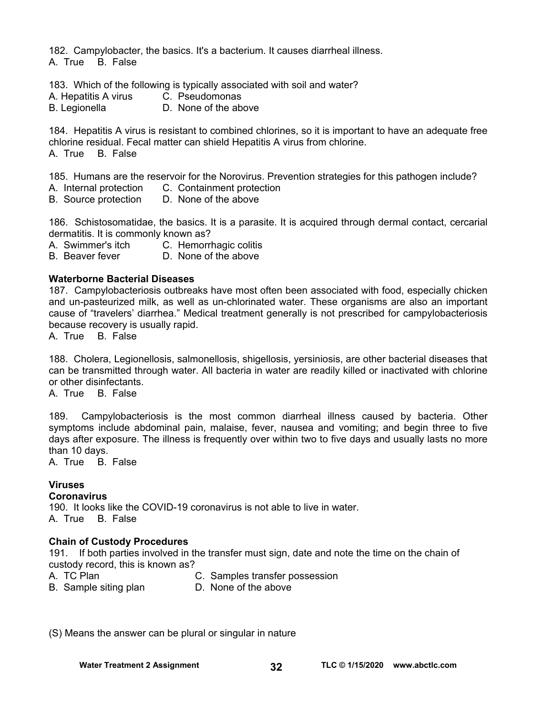182. Campylobacter, the basics. It's a bacterium. It causes diarrheal illness.

A. True B. False

183. Which of the following is typically associated with soil and water?

- A. Hepatitis A virus C. Pseudomonas
- B. Legionella D. None of the above

184. Hepatitis A virus is resistant to combined chlorines, so it is important to have an adequate free chlorine residual. Fecal matter can shield Hepatitis A virus from chlorine. A. True B. False

185. Humans are the reservoir for the Norovirus. Prevention strategies for this pathogen include? A. Internal protection C. Containment protection

B. Source protection D. None of the above

186. Schistosomatidae, the basics. It is a parasite. It is acquired through dermal contact, cercarial dermatitis. It is commonly known as?

- A. Swimmer's itch C. Hemorrhagic colitis
- B. Beaver fever D. None of the above

#### **Waterborne Bacterial Diseases**

187. Campylobacteriosis outbreaks have most often been associated with food, especially chicken and un-pasteurized milk, as well as un-chlorinated water. These organisms are also an important cause of "travelers' diarrhea." Medical treatment generally is not prescribed for campylobacteriosis because recovery is usually rapid.

A. True B. False

188. Cholera, Legionellosis, salmonellosis, shigellosis, yersiniosis, are other bacterial diseases that can be transmitted through water. All bacteria in water are readily killed or inactivated with chlorine or other disinfectants.

A. True B. False

189. Campylobacteriosis is the most common diarrheal illness caused by bacteria. Other symptoms include abdominal pain, malaise, fever, nausea and vomiting; and begin three to five days after exposure. The illness is frequently over within two to five days and usually lasts no more than 10 days.

A. True B. False

#### **Viruses**

**Coronavirus** 

190. It looks like the COVID-19 coronavirus is not able to live in water. A. True B. False

#### **Chain of Custody Procedures**

191. If both parties involved in the transfer must sign, date and note the time on the chain of custody record, this is known as?

- A. TC Plan C. Samples transfer possession
- B. Sample siting plan D. None of the above
- 

(S) Means the answer can be plural or singular in nature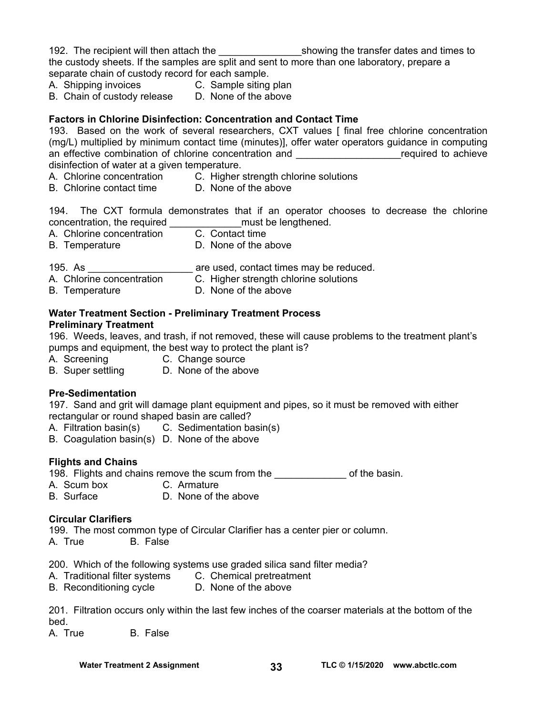192. The recipient will then attach the the showing the transfer dates and times to the custody sheets. If the samples are split and sent to more than one laboratory, prepare a separate chain of custody record for each sample.

- A. Shipping invoices **C.** Sample siting plan
- B. Chain of custody release D. None of the above

#### **Factors in Chlorine Disinfection: Concentration and Contact Time**

193. Based on the work of several researchers, CXT values [ final free chlorine concentration (mg/L) multiplied by minimum contact time (minutes)], offer water operators guidance in computing an effective combination of chlorine concentration and **Example 2** required to achieve disinfection of water at a given temperature.

- A. Chlorine concentration C. Higher strength chlorine solutions
- B. Chlorine contact time D. None of the above

194. The CXT formula demonstrates that if an operator chooses to decrease the chlorine concentration, the required end all must be lengthened.

- A. Chlorine concentration C. Contact time
- B. Temperature **D.** None of the above
- 195. As \_\_\_\_\_\_\_\_\_\_\_\_\_\_\_\_\_\_\_\_\_\_\_\_\_\_ are used, contact times may be reduced.
- A. Chlorine concentration C. Higher strength chlorine solutions
- B. Temperature **D. None of the above**

#### **Water Treatment Section - Preliminary Treatment Process**

#### **Preliminary Treatment**

196. Weeds, leaves, and trash, if not removed, these will cause problems to the treatment plant's pumps and equipment, the best way to protect the plant is?

A. Screening C. Change source

B. Super settling D. None of the above

#### **Pre-Sedimentation**

197. Sand and grit will damage plant equipment and pipes, so it must be removed with either rectangular or round shaped basin are called?

- A. Filtration basin(s) C. Sedimentation basin(s)
- B. Coagulation basin(s) D. None of the above

#### **Flights and Chains**

198. Flights and chains remove the scum from the **constant of the same of the basin.** 

- A. Scum box C. Armature
- B. Surface D. None of the above

#### **Circular Clarifiers**

199. The most common type of Circular Clarifier has a center pier or column.

A. True B. False

200. Which of the following systems use graded silica sand filter media?

- A. Traditional filter systems C. Chemical pretreatment
- B. Reconditioning cycle D. None of the above

201. Filtration occurs only within the last few inches of the coarser materials at the bottom of the bed.

A. True B. False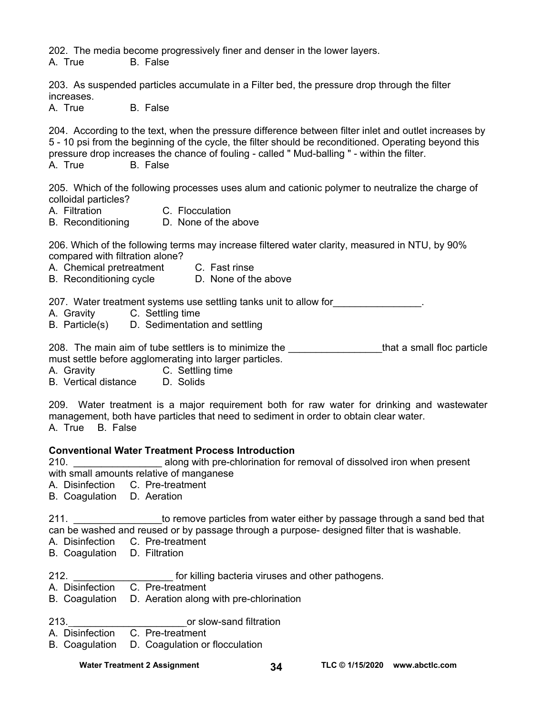202. The media become progressively finer and denser in the lower layers.

A. True B. False

203. As suspended particles accumulate in a Filter bed, the pressure drop through the filter increases.

A. True B. False

204. According to the text, when the pressure difference between filter inlet and outlet increases by 5 - 10 psi from the beginning of the cycle, the filter should be reconditioned. Operating beyond this pressure drop increases the chance of fouling - called " Mud-balling " - within the filter. A. True B. False

205. Which of the following processes uses alum and cationic polymer to neutralize the charge of colloidal particles?

- A. Filtration C. Flocculation
	-
- B. Reconditioning D. None of the above

206. Which of the following terms may increase filtered water clarity, measured in NTU, by 90% compared with filtration alone?

- A. Chemical pretreatment C. Fast rinse
- B. Reconditioning cycle D. None of the above

207. Water treatment systems use settling tanks unit to allow for\_\_\_\_\_\_\_\_\_\_\_\_\_\_\_\_.

- A. Gravity C. Settling time
- B. Particle(s) D. Sedimentation and settling

208. The main aim of tube settlers is to minimize the **constant of the settler a** that a small floc particle must settle before agglomerating into larger particles.

- A. Gravity C. Settling time
- B. Vertical distance D. Solids

209. Water treatment is a major requirement both for raw water for drinking and wastewater management, both have particles that need to sediment in order to obtain clear water. A. True B. False

#### **Conventional Water Treatment Process Introduction**

210. \_\_\_\_\_\_\_\_\_\_\_\_\_\_\_\_ along with pre-chlorination for removal of dissolved iron when present

- with small amounts relative of manganese
- A. Disinfection C. Pre-treatment
- B. Coagulation D. Aeration

211. **Example 211.** 211. can be washed and reused or by passage through a purpose- designed filter that is washable.

- A. Disinfection C. Pre-treatment
- B. Coagulation D. Filtration
- 212. **Example 212. 212. Example 212. https://graduary.org/contract/inducers/**  $\frac{1}{2}$  for killing bacteria viruses and other pathogens.
- A. Disinfection C. Pre-treatment
- B. Coagulation D. Aeration along with pre-chlorination
- 213. \_\_\_\_\_\_\_\_\_\_\_\_\_\_\_\_\_\_\_\_ or slow-sand filtration
- C. Pre-treatment
- B. Coagulation D. Coagulation or flocculation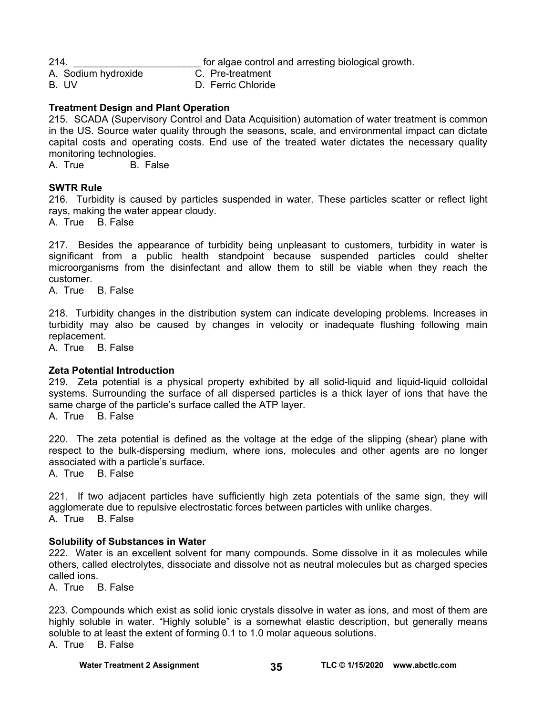214. **Example 214. 214. Example 214. html for algae control and arresting biological growth.** 

A. Sodium hydroxide C. Pre-treatment

B. UV D. Ferric Chloride

#### **Treatment Design and Plant Operation**

215. SCADA (Supervisory Control and Data Acquisition) automation of water treatment is common in the US. Source water quality through the seasons, scale, and environmental impact can dictate capital costs and operating costs. End use of the treated water dictates the necessary quality monitoring technologies.

A. True B. False

#### **SWTR Rule**

216. Turbidity is caused by particles suspended in water. These particles scatter or reflect light rays, making the water appear cloudy.

A. True B. False

217. Besides the appearance of turbidity being unpleasant to customers, turbidity in water is significant from a public health standpoint because suspended particles could shelter microorganisms from the disinfectant and allow them to still be viable when they reach the customer.

A. True B. False

218. Turbidity changes in the distribution system can indicate developing problems. Increases in turbidity may also be caused by changes in velocity or inadequate flushing following main replacement.

A. True B. False

#### **Zeta Potential Introduction**

219. Zeta potential is a physical property exhibited by all solid-liquid and liquid-liquid colloidal systems. Surrounding the surface of all dispersed particles is a thick layer of ions that have the same charge of the particle's surface called the ATP layer.

A. True B. False

220. The zeta potential is defined as the voltage at the edge of the slipping (shear) plane with respect to the bulk-dispersing medium, where ions, molecules and other agents are no longer associated with a particle's surface.

A. True B. False

221. If two adjacent particles have sufficiently high zeta potentials of the same sign, they will agglomerate due to repulsive electrostatic forces between particles with unlike charges. A. True B. False

#### **Solubility of Substances in Water**

222. Water is an excellent solvent for many compounds. Some dissolve in it as molecules while others, called electrolytes, dissociate and dissolve not as neutral molecules but as charged species called ions.

A. True B. False

223. Compounds which exist as solid ionic crystals dissolve in water as ions, and most of them are highly soluble in water. "Highly soluble" is a somewhat elastic description, but generally means soluble to at least the extent of forming 0.1 to 1.0 molar aqueous solutions.

A. True B. False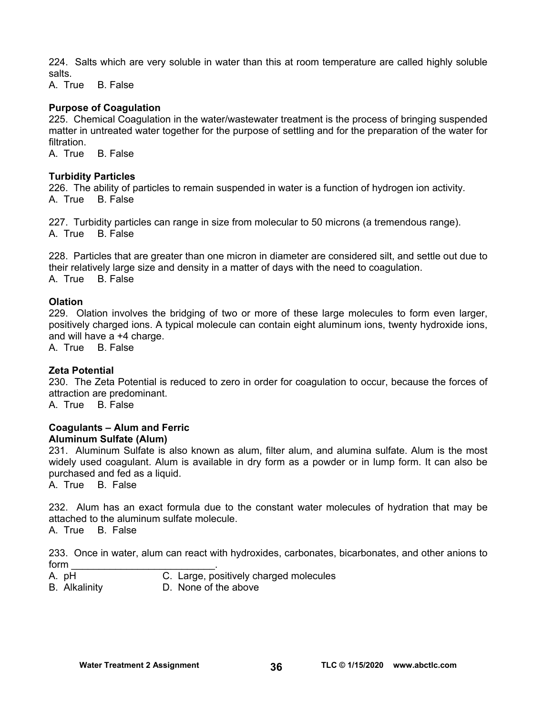224. Salts which are very soluble in water than this at room temperature are called highly soluble salts.

A. True B. False

#### **Purpose of Coagulation**

225. Chemical Coagulation in the water/wastewater treatment is the process of bringing suspended matter in untreated water together for the purpose of settling and for the preparation of the water for filtration.

A. True B. False

#### **Turbidity Particles**

226. The ability of particles to remain suspended in water is a function of hydrogen ion activity. A. True B. False

227. Turbidity particles can range in size from molecular to 50 microns (a tremendous range). A. True B. False

228. Particles that are greater than one micron in diameter are considered silt, and settle out due to their relatively large size and density in a matter of days with the need to coagulation. A. True B. False

#### **Olation**

229. Olation involves the bridging of two or more of these large molecules to form even larger, positively charged ions. A typical molecule can contain eight aluminum ions, twenty hydroxide ions, and will have a +4 charge.

A. True B. False

#### **Zeta Potential**

230. The Zeta Potential is reduced to zero in order for coagulation to occur, because the forces of attraction are predominant.

A. True B. False

#### **Coagulants – Alum and Ferric Aluminum Sulfate (Alum)**

231. Aluminum Sulfate is also known as alum, filter alum, and alumina sulfate. Alum is the most widely used coagulant. Alum is available in dry form as a powder or in lump form. It can also be purchased and fed as a liquid.

A. True B. False

232. Alum has an exact formula due to the constant water molecules of hydration that may be attached to the aluminum sulfate molecule.

A. True B. False

233. Once in water, alum can react with hydroxides, carbonates, bicarbonates, and other anions to form  $\overline{\phantom{a}}$ 

- A. pH C. Large, positively charged molecules
- B. Alkalinity D. None of the above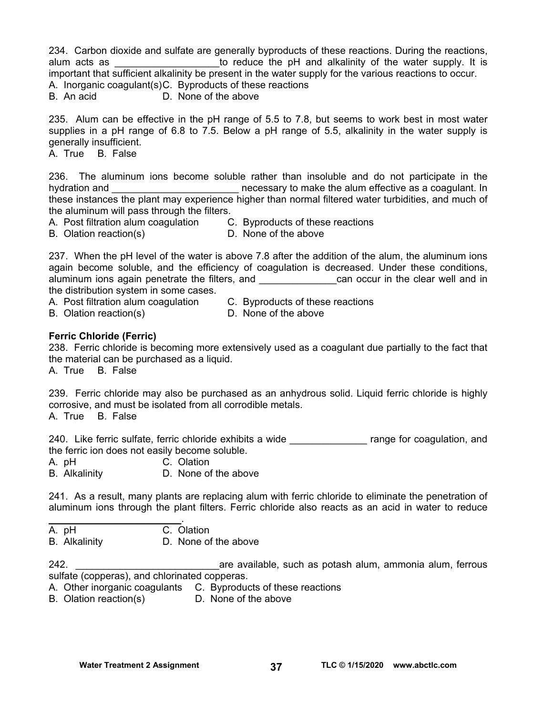234. Carbon dioxide and sulfate are generally byproducts of these reactions. During the reactions, alum acts as **Exercice** and a seque the pH and alkalinity of the water supply. It is important that sufficient alkalinity be present in the water supply for the various reactions to occur. A. Inorganic coagulant(s) C. Byproducts of these reactions

B. An acid D. None of the above

235. Alum can be effective in the pH range of 5.5 to 7.8, but seems to work best in most water supplies in a pH range of 6.8 to 7.5. Below a pH range of 5.5, alkalinity in the water supply is generally insufficient.

A. True B. False

236. The aluminum ions become soluble rather than insoluble and do not participate in the hydration and **the contract of the set of the alum effective** as a coagulant. In these instances the plant may experience higher than normal filtered water turbidities, and much of the aluminum will pass through the filters.

A. Post filtration alum coagulation C. Byproducts of these reactions

B. Olation reaction(s) D. None of the above

237. When the pH level of the water is above 7.8 after the addition of the alum, the aluminum ions again become soluble, and the efficiency of coagulation is decreased. Under these conditions, aluminum ions again penetrate the filters, and \_\_\_\_\_\_\_\_\_\_\_\_\_\_can occur in the clear well and in the distribution system in some cases.

- A. Post filtration alum coagulation C. Byproducts of these reactions
- B. Olation reaction(s) D. None of the above
- 

#### **Ferric Chloride (Ferric)**

238. Ferric chloride is becoming more extensively used as a coagulant due partially to the fact that the material can be purchased as a liquid.

A. True B. False

239. Ferric chloride may also be purchased as an anhydrous solid. Liquid ferric chloride is highly corrosive, and must be isolated from all corrodible metals.

A. True B. False

240. Like ferric sulfate, ferric chloride exhibits a wide \_\_\_\_\_\_\_\_\_\_\_\_\_\_\_\_ range for coagulation, and the ferric ion does not easily become soluble.

A. pH C. Olation

B. Alkalinity D. None of the above

241. As a result, many plants are replacing alum with ferric chloride to eliminate the penetration of aluminum ions through the plant filters. Ferric chloride also reacts as an acid in water to reduce

| A. pH | C. Olation |
|-------|------------|

B. Alkalinity D. None of the above

242. \_\_\_\_\_\_\_\_\_\_\_\_\_\_\_\_\_\_\_\_\_\_\_\_\_\_are available, such as potash alum, ammonia alum, ferrous sulfate (copperas), and chlorinated copperas.

- A. Other inorganic coagulants C. Byproducts of these reactions
- B. Olation reaction(s) D. None of the above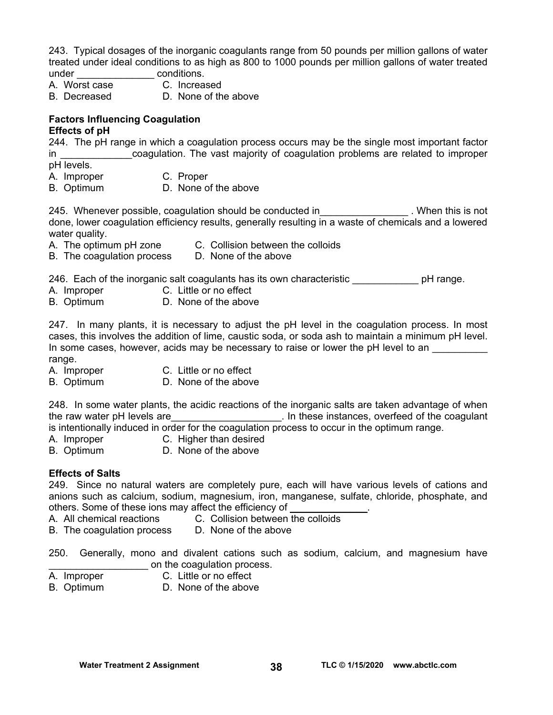243. Typical dosages of the inorganic coagulants range from 50 pounds per million gallons of water treated under ideal conditions to as high as 800 to 1000 pounds per million gallons of water treated under enditions.

- A. Worst case C. Increased
- B. Decreased D. None of the above

#### **Factors Influencing Coagulation Effects of pH**

244. The pH range in which a coagulation process occurs may be the single most important factor in **the coagulation.** The vast majority of coagulation problems are related to improper pH levels.

- A. Improper C. Proper
- B. Optimum D. None of the above

245. Whenever possible, coagulation should be conducted in Theorem 245. When this is not done, lower coagulation efficiency results, generally resulting in a waste of chemicals and a lowered water quality.

- A. The optimum pH zone C. Collision between the colloids
- B. The coagulation process D. None of the above

246. Each of the inorganic salt coagulants has its own characteristic **permaned by pH** range.

- A. Improper C. Little or no effect
- B. Optimum D. None of the above

247. In many plants, it is necessary to adjust the pH level in the coagulation process. In most cases, this involves the addition of lime, caustic soda, or soda ash to maintain a minimum pH level. In some cases, however, acids may be necessary to raise or lower the pH level to an range.

- A. Improper C. Little or no effect
- B. Optimum D. None of the above

248. In some water plants, the acidic reactions of the inorganic salts are taken advantage of when the raw water pH levels are the state of the coagulant of the coagulant in these instances, overfeed of the coagulant is intentionally induced in order for the coagulation process to occur in the optimum range.

- A. Improper C. Higher than desired
- B. Optimum D. None of the above

#### **Effects of Salts**

249. Since no natural waters are completely pure, each will have various levels of cations and anions such as calcium, sodium, magnesium, iron, manganese, sulfate, chloride, phosphate, and others. Some of these ions may affect the efficiency of

- A. All chemical reactions C. Collision between the colloids
- B. The coagulation process D. None of the above

250. Generally, mono and divalent cations such as sodium, calcium, and magnesium have on the coagulation process.

- A. Improper C. Little or no effect
- B. Optimum D. None of the above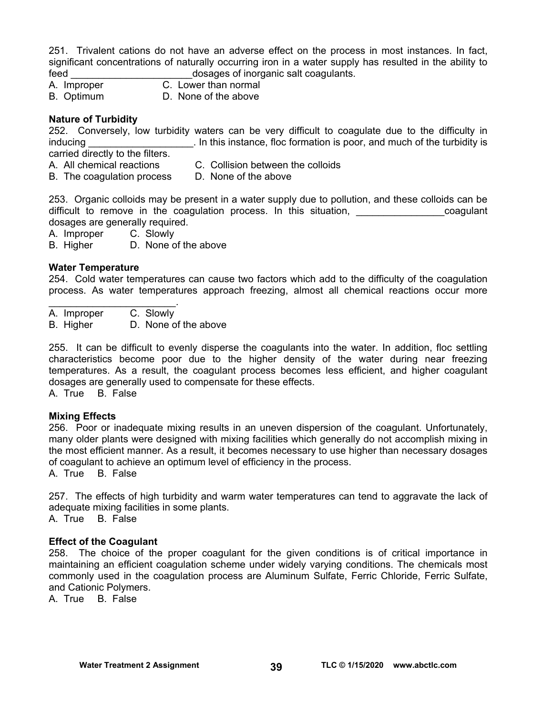251. Trivalent cations do not have an adverse effect on the process in most instances. In fact, significant concentrations of naturally occurring iron in a water supply has resulted in the ability to feed **the contract of inorganic salt coagulants.** 

- A. Improper C. Lower than normal
- B. Optimum D. None of the above

#### **Nature of Turbidity**

252. Conversely, low turbidity waters can be very difficult to coagulate due to the difficulty in inducing **inducing**  $\qquad \qquad$  In this instance, floc formation is poor, and much of the turbidity is carried directly to the filters.

- A. All chemical reactions C. Collision between the colloids
	-
- B. The coagulation process D. None of the above

253. Organic colloids may be present in a water supply due to pollution, and these colloids can be difficult to remove in the coagulation process. In this situation, the state of coagulant dosages are generally required.

A. Improper C. Slowly

B. Higher D. None of the above

#### **Water Temperature**

254. Cold water temperatures can cause two factors which add to the difficulty of the coagulation process. As water temperatures approach freezing, almost all chemical reactions occur more

 $\mathcal{L}_\text{max}$  and  $\mathcal{L}_\text{max}$  and  $\mathcal{L}_\text{max}$ A. Improper C. Slowly

B. Higher D. None of the above

255. It can be difficult to evenly disperse the coagulants into the water. In addition, floc settling characteristics become poor due to the higher density of the water during near freezing temperatures. As a result, the coagulant process becomes less efficient, and higher coagulant dosages are generally used to compensate for these effects.

A. True B. False

#### **Mixing Effects**

256. Poor or inadequate mixing results in an uneven dispersion of the coagulant. Unfortunately, many older plants were designed with mixing facilities which generally do not accomplish mixing in the most efficient manner. As a result, it becomes necessary to use higher than necessary dosages of coagulant to achieve an optimum level of efficiency in the process.

A. True B. False

257. The effects of high turbidity and warm water temperatures can tend to aggravate the lack of adequate mixing facilities in some plants.

A. True B. False

#### **Effect of the Coagulant**

258. The choice of the proper coagulant for the given conditions is of critical importance in maintaining an efficient coagulation scheme under widely varying conditions. The chemicals most commonly used in the coagulation process are Aluminum Sulfate, Ferric Chloride, Ferric Sulfate, and Cationic Polymers.

A. True B. False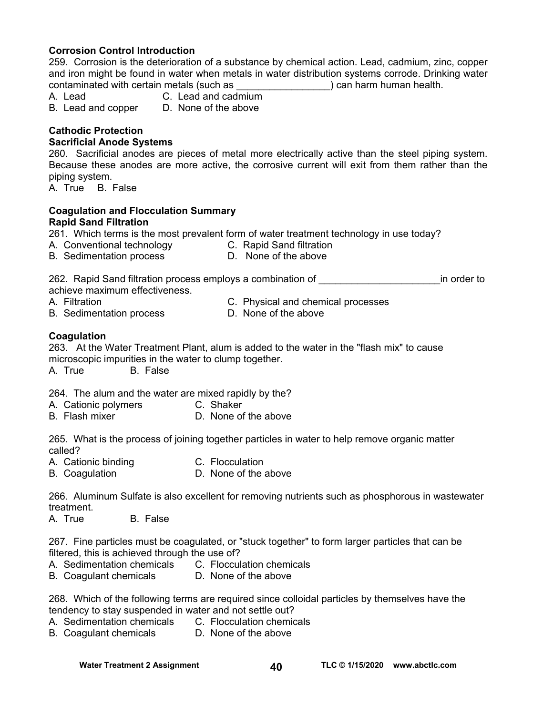#### **Corrosion Control Introduction**

259. Corrosion is the deterioration of a substance by chemical action. Lead, cadmium, zinc, copper and iron might be found in water when metals in water distribution systems corrode. Drinking water contaminated with certain metals (such as \_\_\_\_\_\_\_\_\_\_\_\_\_\_\_\_\_) can harm human health.

- A. Lead C. Lead and cadmium
- B. Lead and copper D. None of the above

## **Cathodic Protection**

#### **Sacrificial Anode Systems**

260. Sacrificial anodes are pieces of metal more electrically active than the steel piping system. Because these anodes are more active, the corrosive current will exit from them rather than the piping system.

A. True B. False

#### **Coagulation and Flocculation Summary Rapid Sand Filtration**

261. Which terms is the most prevalent form of water treatment technology in use today?

- A. Conventional technology C. Rapid Sand filtration
	-
- B. Sedimentation process **D.** None of the above

262. Rapid Sand filtration process employs a combination of \_\_\_\_\_\_\_\_\_\_\_\_\_\_\_\_\_\_\_\_\_\_in order to achieve maximum effectiveness.

- A. Filtration C. Physical and chemical processes
- B. Sedimentation process **D.** None of the above

#### **Coagulation**

263. At the Water Treatment Plant, alum is added to the water in the "flash mix" to cause microscopic impurities in the water to clump together.

A. True B. False

264. The alum and the water are mixed rapidly by the?

- A. Cationic polymers C. Shaker
- B. Flash mixer D. None of the above

265. What is the process of joining together particles in water to help remove organic matter called?

- A. Cationic binding C. Flocculation
- B. Coagulation **D. None of the above**

266. Aluminum Sulfate is also excellent for removing nutrients such as phosphorous in wastewater treatment.

A. True B. False

267. Fine particles must be coagulated, or "stuck together" to form larger particles that can be filtered, this is achieved through the use of?

- A. Sedimentation chemicals C. Flocculation chemicals
- B. Coagulant chemicals D. None of the above

268. Which of the following terms are required since colloidal particles by themselves have the tendency to stay suspended in water and not settle out?

- A. Sedimentation chemicals C. Flocculation chemicals
- B. Coagulant chemicals D. None of the above

Water Treatment 2 Assignment **TLC © 1/15/2020** www.abctlc.com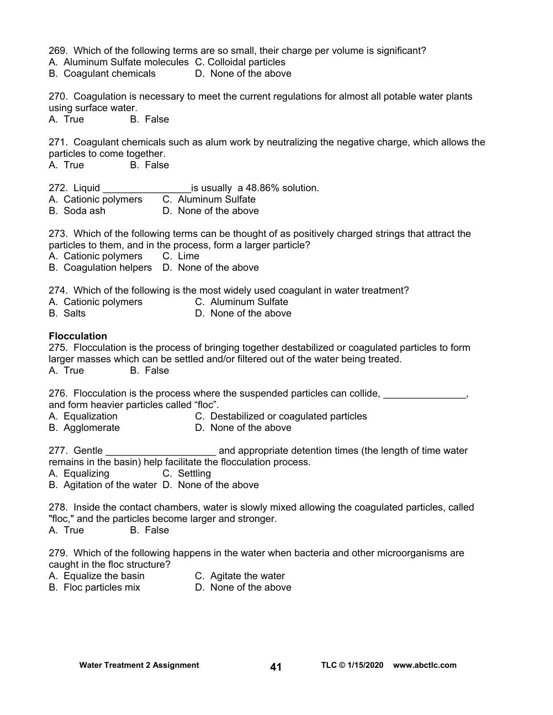269. Which of the following terms are so small, their charge per volume is significant?

A. Aluminum Sulfate molecules C. Colloidal particles

B. Coagulant chemicals D. None of the above

270. Coagulation is necessary to meet the current regulations for almost all potable water plants using surface water.

A. True B. False

271. Coagulant chemicals such as alum work by neutralizing the negative charge, which allows the particles to come together.

A. True B. False

- 272. Liquid **Example 272.** Liquid **Example 272.** Liquid
- A. Cationic polymers C. Aluminum Sulfate
- B. Soda ash D. None of the above

273. Which of the following terms can be thought of as positively charged strings that attract the particles to them, and in the process, form a larger particle?

A. Cationic polymers C. Lime

B. Coagulation helpers D. None of the above

274. Which of the following is the most widely used coagulant in water treatment?

- A. Cationic polymers C. Aluminum Sulfate
- B. Salts D. None of the above

#### **Flocculation**

275. Flocculation is the process of bringing together destabilized or coagulated particles to form larger masses which can be settled and/or filtered out of the water being treated. A. True B. False

276. Flocculation is the process where the suspended particles can collide, **with the summand of the set of the s** and form heavier particles called "floc".

- A. Equalization C. Destabilized or coagulated particles
- B. Agglomerate **D. None of the above**

277. Gentle **Example 2008** and appropriate detention times (the length of time water remains in the basin) help facilitate the flocculation process.

A. Equalizing C. Settling

B. Agitation of the water D. None of the above

278. Inside the contact chambers, water is slowly mixed allowing the coagulated particles, called "floc," and the particles become larger and stronger.

A. True B. False

279. Which of the following happens in the water when bacteria and other microorganisms are caught in the floc structure?

- 
- A. Equalize the basin C. Agitate the water<br>B. Floc particles mix D. None of the above
- B. Floc particles mix
-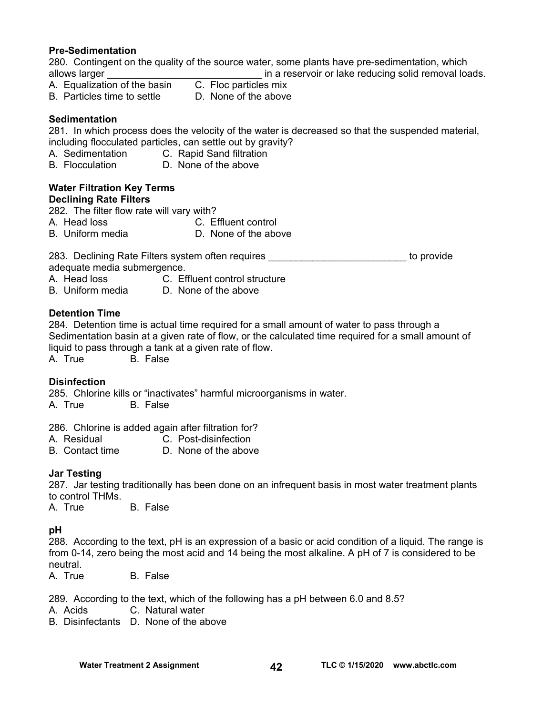#### **Pre-Sedimentation**

280. Contingent on the quality of the source water, some plants have pre-sedimentation, which allows larger  $\blacksquare$  in a reservoir or lake reducing solid removal loads.

- A. Equalization of the basin C. Floc particles mix
	-
- B. Particles time to settle D. None of the above

#### **Sedimentation**

281. In which process does the velocity of the water is decreased so that the suspended material, including flocculated particles, can settle out by gravity?

- A. Sedimentation C. Rapid Sand filtration
- B. Flocculation D. None of the above

#### **Water Filtration Key Terms Declining Rate Filters**

282. The filter flow rate will vary with?

- 
- A. Head loss C. Effluent control
- B. Uniform media **D. None of the above**

283. Declining Rate Filters system often requires \_\_\_\_\_\_\_\_\_\_\_\_\_\_\_\_\_\_\_\_\_\_\_\_\_\_\_\_\_ to provide adequate media submergence.

- A. Head loss C. Effluent control structure<br>B. Uniform media D. None of the above
- D. None of the above

#### **Detention Time**

284. Detention time is actual time required for a small amount of water to pass through a Sedimentation basin at a given rate of flow, or the calculated time required for a small amount of liquid to pass through a tank at a given rate of flow.

A. True B. False

#### **Disinfection**

285. Chlorine kills or "inactivates" harmful microorganisms in water. A. True B. False

286. Chlorine is added again after filtration for?

- A. Residual C. Post-disinfection
- B. Contact time D. None of the above

#### **Jar Testing**

287. Jar testing traditionally has been done on an infrequent basis in most water treatment plants to control THMs.

A. True B. False

#### **pH**

288. According to the text, pH is an expression of a basic or acid condition of a liquid. The range is from 0-14, zero being the most acid and 14 being the most alkaline. A pH of 7 is considered to be neutral.

A. True B. False

289. According to the text, which of the following has a pH between 6.0 and 8.5?

- A. Acids C. Natural water
- B. Disinfectants D. None of the above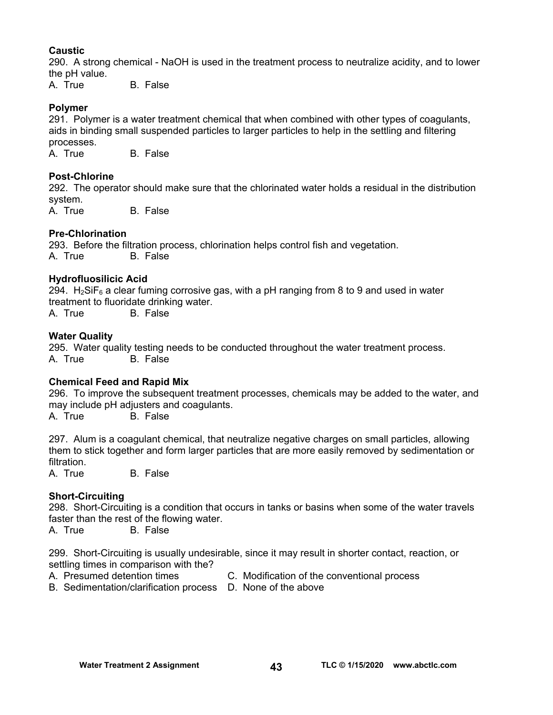#### **Caustic**

290. A strong chemical - NaOH is used in the treatment process to neutralize acidity, and to lower the pH value.

A. True B. False

#### **Polymer**

291. Polymer is a water treatment chemical that when combined with other types of coagulants, aids in binding small suspended particles to larger particles to help in the settling and filtering processes.

A. True B. False

#### **Post-Chlorine**

292. The operator should make sure that the chlorinated water holds a residual in the distribution system.

A. True B. False

#### **Pre-Chlorination**

293. Before the filtration process, chlorination helps control fish and vegetation. A. True B. False

#### **Hydrofluosilicic Acid**

294.  $H_2$ SiF<sub>6</sub> a clear fuming corrosive gas, with a pH ranging from 8 to 9 and used in water treatment to fluoridate drinking water.

A. True B. False

#### **Water Quality**

295. Water quality testing needs to be conducted throughout the water treatment process. **B.** False

#### **Chemical Feed and Rapid Mix**

296. To improve the subsequent treatment processes, chemicals may be added to the water, and may include pH adjusters and coagulants.

A. True B. False

297. Alum is a coagulant chemical, that neutralize negative charges on small particles, allowing them to stick together and form larger particles that are more easily removed by sedimentation or filtration.

A. True B. False

#### **Short-Circuiting**

298. Short-Circuiting is a condition that occurs in tanks or basins when some of the water travels faster than the rest of the flowing water.

A. True B. False

299. Short-Circuiting is usually undesirable, since it may result in shorter contact, reaction, or settling times in comparison with the?

- A. Presumed detention times C. Modification of the conventional process
- B. Sedimentation/clarification process D. None of the above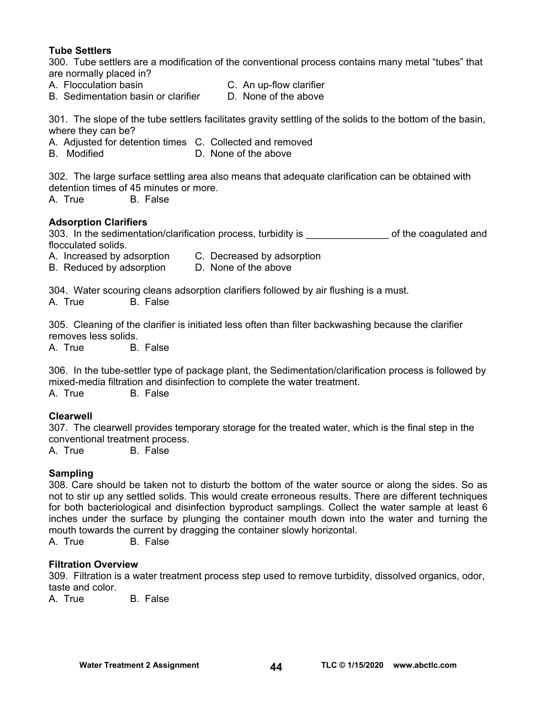#### **Tube Settlers**

300. Tube settlers are a modification of the conventional process contains many metal "tubes" that are normally placed in?

- 
- A. Flocculation basin C. An up-flow clarifier
- B. Sedimentation basin or clarifier D. None of the above

301. The slope of the tube settlers facilitates gravity settling of the solids to the bottom of the basin, where they can be?

- A. Adjusted for detention times C. Collected and removed
- B. Modified **D. None of the above**

302. The large surface settling area also means that adequate clarification can be obtained with detention times of 45 minutes or more.

A. True B. False

#### **Adsorption Clarifiers**

303. In the sedimentation/clarification process, turbidity is \_\_\_\_\_\_\_\_\_\_\_\_\_\_\_\_\_\_ of the coagulated and flocculated solids.

- A. Increased by adsorption C. Decreased by adsorption
- B. Reduced by adsorption D. None of the above

304. Water scouring cleans adsorption clarifiers followed by air flushing is a must.

A. True B. False

305. Cleaning of the clarifier is initiated less often than filter backwashing because the clarifier removes less solids.

A. True B. False

306. In the tube-settler type of package plant, the Sedimentation/clarification process is followed by mixed-media filtration and disinfection to complete the water treatment.

A. True B. False

#### **Clearwell**

307. The clearwell provides temporary storage for the treated water, which is the final step in the conventional treatment process.

A. True B. False

#### **Sampling**

308. Care should be taken not to disturb the bottom of the water source or along the sides. So as not to stir up any settled solids. This would create erroneous results. There are different techniques for both bacteriological and disinfection byproduct samplings. Collect the water sample at least 6 inches under the surface by plunging the container mouth down into the water and turning the mouth towards the current by dragging the container slowly horizontal.

A. True B. False

#### **Filtration Overview**

309. Filtration is a water treatment process step used to remove turbidity, dissolved organics, odor, taste and color.

A. True B. False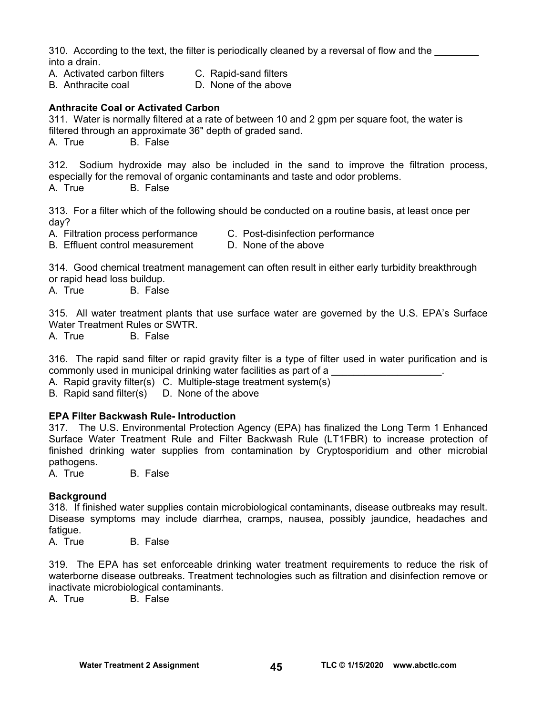310. According to the text, the filter is periodically cleaned by a reversal of flow and the into a drain.

- A. Activated carbon filters C. Rapid-sand filters
- B. Anthracite coal **D.** None of the above

#### **Anthracite Coal or Activated Carbon**

311. Water is normally filtered at a rate of between 10 and 2 gpm per square foot, the water is filtered through an approximate 36" depth of graded sand.

A. True B. False

312. Sodium hydroxide may also be included in the sand to improve the filtration process, especially for the removal of organic contaminants and taste and odor problems. A. True B. False

313. For a filter which of the following should be conducted on a routine basis, at least once per day?

A. Filtration process performance C. Post-disinfection performance

B. Effluent control measurement D. None of the above

314. Good chemical treatment management can often result in either early turbidity breakthrough or rapid head loss buildup.

A. True B. False

315. All water treatment plants that use surface water are governed by the U.S. EPA's Surface Water Treatment Rules or SWTR.

A. True B. False

316. The rapid sand filter or rapid gravity filter is a type of filter used in water purification and is commonly used in municipal drinking water facilities as part of a

A. Rapid gravity filter(s) C. Multiple-stage treatment system(s)

B. Rapid sand filter(s) D. None of the above

#### **EPA Filter Backwash Rule- Introduction**

317. The U.S. Environmental Protection Agency (EPA) has finalized the Long Term 1 Enhanced Surface Water Treatment Rule and Filter Backwash Rule (LT1FBR) to increase protection of finished drinking water supplies from contamination by Cryptosporidium and other microbial pathogens.

A. True B. False

#### **Background**

318. If finished water supplies contain microbiological contaminants, disease outbreaks may result. Disease symptoms may include diarrhea, cramps, nausea, possibly jaundice, headaches and fatigue.

A. True B. False

319. The EPA has set enforceable drinking water treatment requirements to reduce the risk of waterborne disease outbreaks. Treatment technologies such as filtration and disinfection remove or inactivate microbiological contaminants.

A. True B. False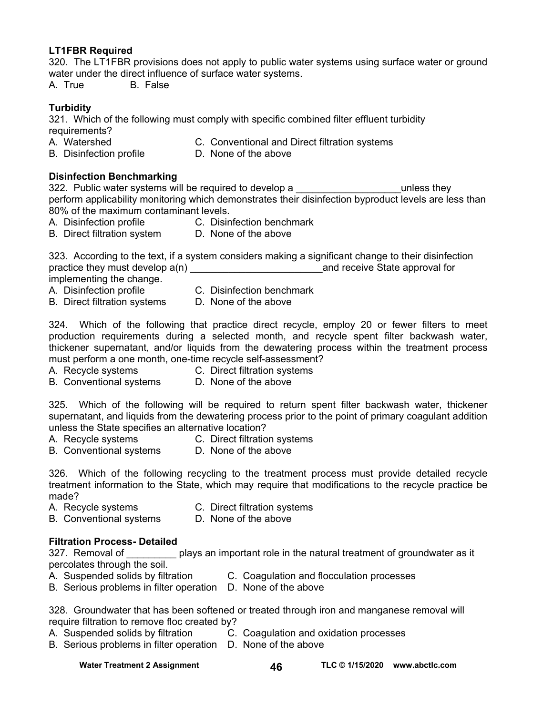#### **LT1FBR Required**

320. The LT1FBR provisions does not apply to public water systems using surface water or ground water under the direct influence of surface water systems.

A. True B. False

#### **Turbidity**

321. Which of the following must comply with specific combined filter effluent turbidity requirements?

- A. Watershed C. Conventional and Direct filtration systems
- B. Disinfection profile **D.** None of the above
- 

#### **Disinfection Benchmarking**

322. Public water systems will be required to develop a **Example 2** by the unless they perform applicability monitoring which demonstrates their disinfection byproduct levels are less than 80% of the maximum contaminant levels.

- A. Disinfection profile C. Disinfection benchmark
- B. Direct filtration system D. None of the above

323. According to the text, if a system considers making a significant change to their disinfection practice they must develop  $a(n)$  and receive State approval for implementing the change.

- 
- A. Disinfection profile C. Disinfection benchmark
- B. Direct filtration systems D. None of the above
- 

324. Which of the following that practice direct recycle, employ 20 or fewer filters to meet production requirements during a selected month, and recycle spent filter backwash water, thickener supernatant, and/or liquids from the dewatering process within the treatment process must perform a one month, one-time recycle self-assessment?

- A. Recycle systems C. Direct filtration systems
	-
- B. Conventional systems D. None of the above

325. Which of the following will be required to return spent filter backwash water, thickener supernatant, and liquids from the dewatering process prior to the point of primary coagulant addition unless the State specifies an alternative location?

- 
- A. Recycle systems C. Direct filtration systems
- B. Conventional systems D. None of the above

326. Which of the following recycling to the treatment process must provide detailed recycle treatment information to the State, which may require that modifications to the recycle practice be made?

- A. Recycle systems C. Direct filtration systems
- B. Conventional systems D. None of the above

#### **Filtration Process- Detailed**

327. Removal of plays an important role in the natural treatment of groundwater as it percolates through the soil.

- A. Suspended solids by filtration C. Coagulation and flocculation processes
- B. Serious problems in filter operation D. None of the above

328. Groundwater that has been softened or treated through iron and manganese removal will require filtration to remove floc created by?

- A. Suspended solids by filtration C. Coagulation and oxidation processes
- B. Serious problems in filter operation D. None of the above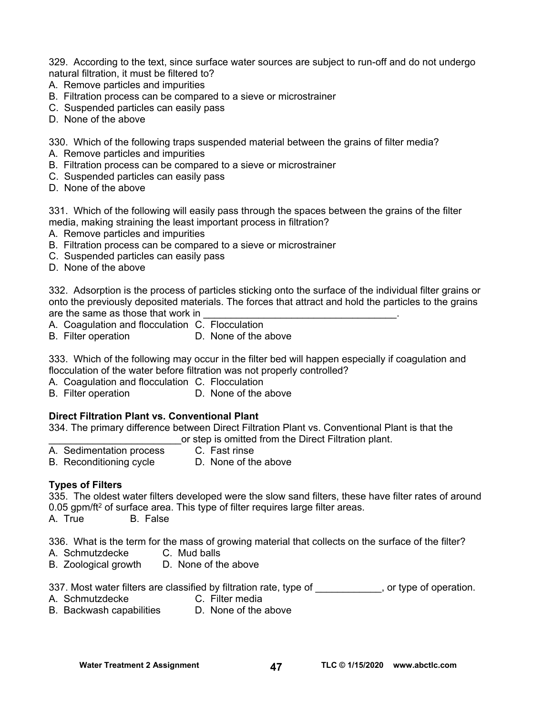329. According to the text, since surface water sources are subject to run-off and do not undergo natural filtration, it must be filtered to?

- A. Remove particles and impurities
- B. Filtration process can be compared to a sieve or microstrainer
- C. Suspended particles can easily pass
- D. None of the above

330. Which of the following traps suspended material between the grains of filter media?

- A. Remove particles and impurities
- B. Filtration process can be compared to a sieve or microstrainer
- C. Suspended particles can easily pass
- D. None of the above

331. Which of the following will easily pass through the spaces between the grains of the filter media, making straining the least important process in filtration?

- A. Remove particles and impurities
- B. Filtration process can be compared to a sieve or microstrainer
- C. Suspended particles can easily pass
- D. None of the above

332. Adsorption is the process of particles sticking onto the surface of the individual filter grains or onto the previously deposited materials. The forces that attract and hold the particles to the grains are the same as those that work in

- A. Coagulation and flocculation C. Flocculation
- B. Filter operation D. None of the above

333. Which of the following may occur in the filter bed will happen especially if coagulation and flocculation of the water before filtration was not properly controlled?

- A. Coagulation and flocculation C. Flocculation
- B. Filter operation **D.** None of the above

#### **Direct Filtration Plant vs. Conventional Plant**

334. The primary difference between Direct Filtration Plant vs. Conventional Plant is that the \_\_\_\_\_\_\_\_\_\_\_\_\_\_\_\_\_\_\_\_\_\_\_\_or step is omitted from the Direct Filtration plant.

- A. Sedimentation process C. Fast rinse
	-
- B. Reconditioning cycle D. None of the above

#### **Types of Filters**

335. The oldest water filters developed were the slow sand filters, these have filter rates of around 0.05 gpm/ft<sup>2</sup> of surface area. This type of filter requires large filter areas.

A. True B. False

336. What is the term for the mass of growing material that collects on the surface of the filter?

- A. Schmutzdecke C. Mud balls
- B. Zoological growth D. None of the above

337. Most water filters are classified by filtration rate, type of \_\_\_\_\_\_\_\_\_\_\_, or type of operation.

- A. Schmutzdecke C. Filter media
	-
- B. Backwash capabilities D. None of the above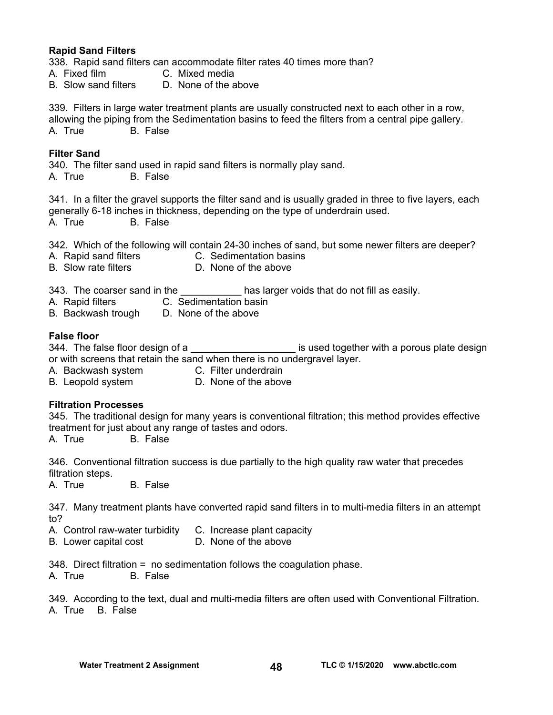#### **Rapid Sand Filters**

338. Rapid sand filters can accommodate filter rates 40 times more than?

- A. Fixed film C. Mixed media
- B. Slow sand filters D. None of the above

339. Filters in large water treatment plants are usually constructed next to each other in a row, allowing the piping from the Sedimentation basins to feed the filters from a central pipe gallery. A. True B. False

#### **Filter Sand**

340. The filter sand used in rapid sand filters is normally play sand. A. True B. False

341. In a filter the gravel supports the filter sand and is usually graded in three to five layers, each generally 6-18 inches in thickness, depending on the type of underdrain used. A. True B. False

342. Which of the following will contain 24-30 inches of sand, but some newer filters are deeper?

- A. Rapid sand filters C. Sedimentation basins
	-
- B. Slow rate filters D. None of the above
- 

343. The coarser sand in the \_\_\_\_\_\_\_\_\_\_\_\_\_ has larger voids that do not fill as easily.

- A. Rapid filters C. Sedimentation basin
- B. Backwash trough D. None of the above

#### **False floor**

344. The false floor design of a \_\_\_\_\_\_\_\_\_\_\_\_\_\_\_\_\_\_\_\_\_\_\_\_\_ is used together with a porous plate design or with screens that retain the sand when there is no undergravel layer.

- A. Backwash system **C. Filter underdrain**
- B. Leopold system D. None of the above

#### **Filtration Processes**

345. The traditional design for many years is conventional filtration; this method provides effective treatment for just about any range of tastes and odors.

A. True B. False

346. Conventional filtration success is due partially to the high quality raw water that precedes filtration steps.

A. True B. False

347. Many treatment plants have converted rapid sand filters in to multi-media filters in an attempt to?

A. Control raw-water turbidity C. Increase plant capacity

B. Lower capital cost **D.** None of the above

348. Direct filtration = no sedimentation follows the coagulation phase.

A. True B. False

349. According to the text, dual and multi-media filters are often used with Conventional Filtration. A. True B. False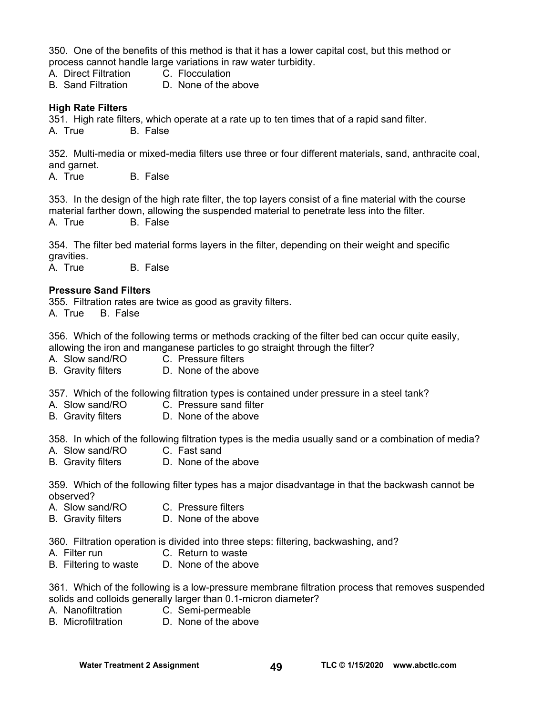350. One of the benefits of this method is that it has a lower capital cost, but this method or process cannot handle large variations in raw water turbidity.

- A. Direct Filtration C. Flocculation
- B. Sand Filtration D. None of the above

#### **High Rate Filters**

351. High rate filters, which operate at a rate up to ten times that of a rapid sand filter. A. True B. False

352. Multi-media or mixed-media filters use three or four different materials, sand, anthracite coal, and garnet.

A. True B. False

353. In the design of the high rate filter, the top layers consist of a fine material with the course material farther down, allowing the suspended material to penetrate less into the filter. A. True B. False

354. The filter bed material forms layers in the filter, depending on their weight and specific gravities.

A. True B. False

#### **Pressure Sand Filters**

355. Filtration rates are twice as good as gravity filters. A. True B. False

356. Which of the following terms or methods cracking of the filter bed can occur quite easily, allowing the iron and manganese particles to go straight through the filter?

- A. Slow sand/RO C. Pressure filters
- B. Gravity filters D. None of the above

357. Which of the following filtration types is contained under pressure in a steel tank?

- A. Slow sand/RO C. Pressure sand filter
- B. Gravity filters D. None of the above

358. In which of the following filtration types is the media usually sand or a combination of media?

- A. Slow sand/RO C. Fast sand
- B. Gravity filters D. None of the above

359. Which of the following filter types has a major disadvantage in that the backwash cannot be observed?

- A. Slow sand/RO C. Pressure filters
- B. Gravity filters **D. None of the above**

360. Filtration operation is divided into three steps: filtering, backwashing, and?

- A. Filter run C. Return to waste
- B. Filtering to waste D. None of the above

361. Which of the following is a low-pressure membrane filtration process that removes suspended solids and colloids generally larger than 0.1-micron diameter?

- A. Nanofiltration C. Semi-permeable
- B. Microfiltration D. None of the above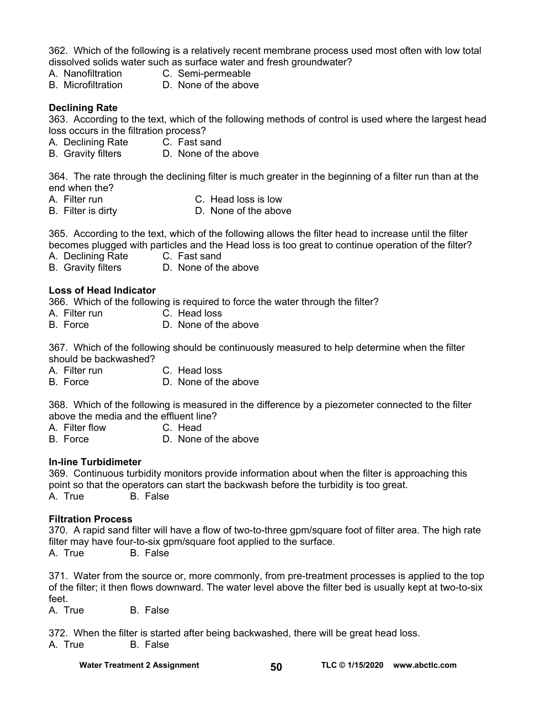362. Which of the following is a relatively recent membrane process used most often with low total dissolved solids water such as surface water and fresh groundwater?

- A. Nanofiltration C. Semi-permeable
- B. Microfiltration D. None of the above

#### **Declining Rate**

363. According to the text, which of the following methods of control is used where the largest head loss occurs in the filtration process?

- A. Declining Rate C. Fast sand
- B. Gravity filters D. None of the above

364. The rate through the declining filter is much greater in the beginning of a filter run than at the end when the?

- 
- A. Filter run C. Head loss is low<br>B. Filter is dirty B. None of the above D. None of the above

365. According to the text, which of the following allows the filter head to increase until the filter becomes plugged with particles and the Head loss is too great to continue operation of the filter?

- A. Declining Rate C. Fast sand
- B. Gravity filters D. None of the above

#### **Loss of Head Indicator**

366. Which of the following is required to force the water through the filter?

- A. Filter run C. Head loss
- B. Force D. None of the above

367. Which of the following should be continuously measured to help determine when the filter should be backwashed?

- A. Filter run C. Head loss
- B. Force D. None of the above

368. Which of the following is measured in the difference by a piezometer connected to the filter above the media and the effluent line?

- A. Filter flow C. Head
- B. Force D. None of the above

#### **In-line Turbidimeter**

369. Continuous turbidity monitors provide information about when the filter is approaching this point so that the operators can start the backwash before the turbidity is too great. A. True B. False

#### **Filtration Process**

370. A rapid sand filter will have a flow of two-to-three gpm/square foot of filter area. The high rate filter may have four-to-six gpm/square foot applied to the surface.

A. True B. False

371. Water from the source or, more commonly, from pre-treatment processes is applied to the top of the filter; it then flows downward. The water level above the filter bed is usually kept at two-to-six feet.

A. True B. False

372. When the filter is started after being backwashed, there will be great head loss.

A. True B. False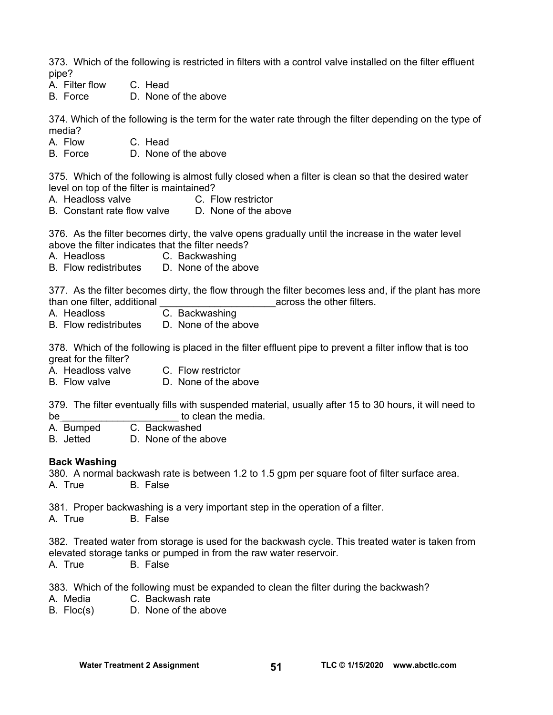373. Which of the following is restricted in filters with a control valve installed on the filter effluent pipe?

- A. Filter flow C. Head
- B. Force D. None of the above

374. Which of the following is the term for the water rate through the filter depending on the type of media?

A. Flow C. Head

B. Force D. None of the above

375. Which of the following is almost fully closed when a filter is clean so that the desired water level on top of the filter is maintained?

- A. Headloss valve C. Flow restrictor
- B. Constant rate flow valve D. None of the above

376. As the filter becomes dirty, the valve opens gradually until the increase in the water level above the filter indicates that the filter needs?

- A. Headloss C. Backwashing
- B. Flow redistributes D. None of the above

377. As the filter becomes dirty, the flow through the filter becomes less and, if the plant has more than one filter, additional the state of the control of the other filters.

- A. Headloss C. Backwashing
- B. Flow redistributes D. None of the above

378. Which of the following is placed in the filter effluent pipe to prevent a filter inflow that is too great for the filter?

- A. Headloss valve C. Flow restrictor
- B. Flow valve **D.** None of the above

379. The filter eventually fills with suspended material, usually after 15 to 30 hours, it will need to be \_\_\_\_\_\_\_\_\_\_\_\_\_\_\_\_\_\_\_\_\_ to clean the media.

- A. Bumped C. Backwashed
- B. Jetted D. None of the above

#### **Back Washing**

380. A normal backwash rate is between 1.2 to 1.5 gpm per square foot of filter surface area. A. True B. False

381. Proper backwashing is a very important step in the operation of a filter.

A. True B. False

382. Treated water from storage is used for the backwash cycle. This treated water is taken from elevated storage tanks or pumped in from the raw water reservoir.

A. True B. False

383. Which of the following must be expanded to clean the filter during the backwash?

- A. Media C. Backwash rate
- B. Floc(s) D. None of the above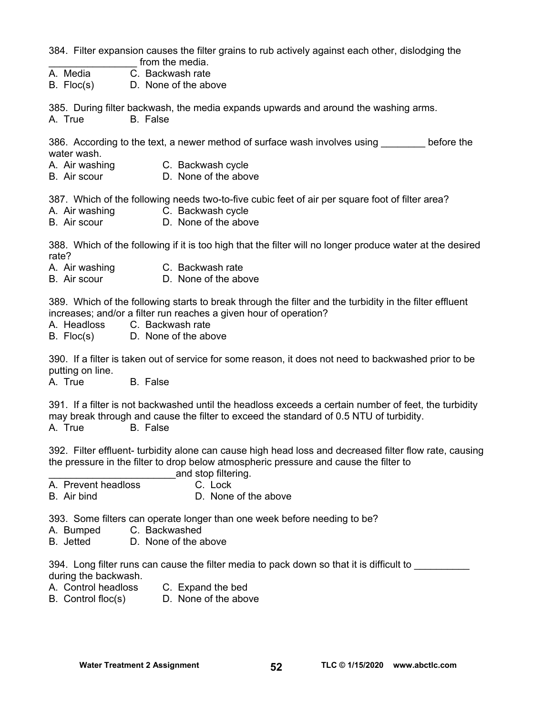384. Filter expansion causes the filter grains to rub actively against each other, dislodging the from the media.

- A. Media C. Backwash rate
- B. Floc(s) D. None of the above

385. During filter backwash, the media expands upwards and around the washing arms. A. True B. False

386. According to the text, a newer method of surface wash involves using before the water wash.

- A. Air washing C. Backwash cycle
- B. Air scour D. None of the above

387. Which of the following needs two-to-five cubic feet of air per square foot of filter area?

- A. Air washing C. Backwash cycle
- B. Air scour D. None of the above

388. Which of the following if it is too high that the filter will no longer produce water at the desired rate?

- A. Air washing C. Backwash rate
- B. Air scour D. None of the above

389. Which of the following starts to break through the filter and the turbidity in the filter effluent increases; and/or a filter run reaches a given hour of operation?

A. Headloss C. Backwash rate

B. Floc(s) D. None of the above

390. If a filter is taken out of service for some reason, it does not need to backwashed prior to be putting on line.

A. True B. False

391. If a filter is not backwashed until the headloss exceeds a certain number of feet, the turbidity may break through and cause the filter to exceed the standard of 0.5 NTU of turbidity. A. True B. False

392. Filter effluent- turbidity alone can cause high head loss and decreased filter flow rate, causing the pressure in the filter to drop below atmospheric pressure and cause the filter to

- and stop filtering. A. Prevent headloss C. Lock
- B. Air bind D. None of the above

393. Some filters can operate longer than one week before needing to be?

- A. Bumped C. Backwashed
- B. Jetted D. None of the above

394. Long filter runs can cause the filter media to pack down so that it is difficult to during the backwash.

- A. Control headloss C. Expand the bed
- B. Control floc(s) D. None of the above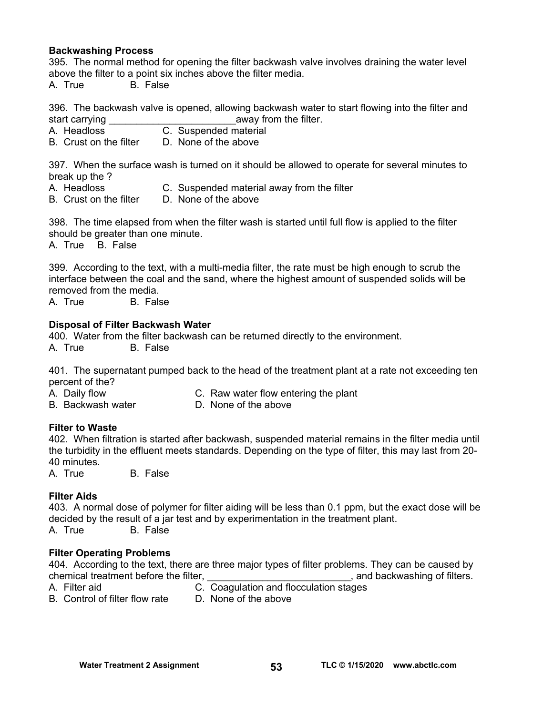#### **Backwashing Process**

395. The normal method for opening the filter backwash valve involves draining the water level above the filter to a point six inches above the filter media.

A. True B. False

396. The backwash valve is opened, allowing backwash water to start flowing into the filter and start carrying example away from the filter.

- A. Headloss C. Suspended material
- B. Crust on the filter D. None of the above

397. When the surface wash is turned on it should be allowed to operate for several minutes to break up the ?

- A. Headloss C. Suspended material away from the filter
- B. Crust on the filter D. None of the above

398. The time elapsed from when the filter wash is started until full flow is applied to the filter should be greater than one minute.

A. True B. False

399. According to the text, with a multi-media filter, the rate must be high enough to scrub the interface between the coal and the sand, where the highest amount of suspended solids will be removed from the media.

A. True B. False

#### **Disposal of Filter Backwash Water**

400. Water from the filter backwash can be returned directly to the environment.

A. True B. False

401. The supernatant pumped back to the head of the treatment plant at a rate not exceeding ten percent of the?

- A. Daily flow C. Raw water flow entering the plant
- B. Backwash water D. None of the above

## **Filter to Waste**

402. When filtration is started after backwash, suspended material remains in the filter media until the turbidity in the effluent meets standards. Depending on the type of filter, this may last from 20- 40 minutes.

A. True B. False

#### **Filter Aids**

403. A normal dose of polymer for filter aiding will be less than 0.1 ppm, but the exact dose will be decided by the result of a jar test and by experimentation in the treatment plant. A. True B. False

#### **Filter Operating Problems**

404. According to the text, there are three major types of filter problems. They can be caused by chemical treatment before the filter, the state of the state of filters.

- 
- A. Filter aid C. Coagulation and flocculation stages
- B. Control of filter flow rate D. None of the above
	-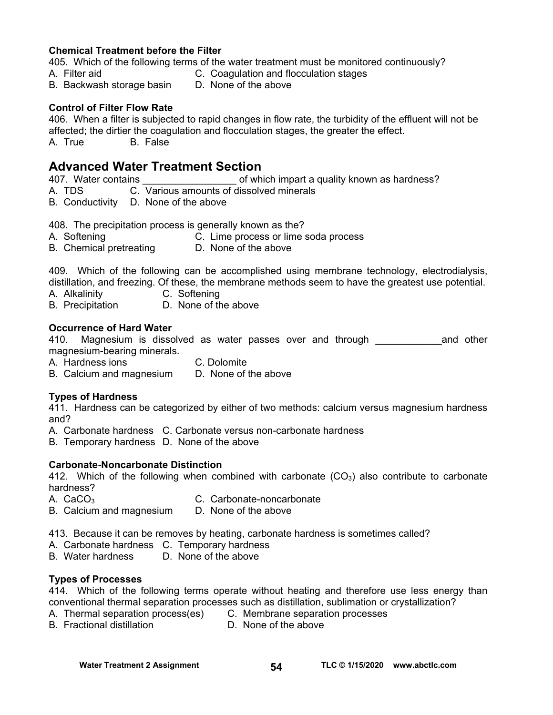#### **Chemical Treatment before the Filter**

405. Which of the following terms of the water treatment must be monitored continuously?

- A. Filter aid C. Coagulation and flocculation stages
	-
- B. Backwash storage basin D. None of the above

#### **Control of Filter Flow Rate**

406. When a filter is subjected to rapid changes in flow rate, the turbidity of the effluent will not be affected; the dirtier the coagulation and flocculation stages, the greater the effect. A. True B. False

### **Advanced Water Treatment Section**

407. Water contains **Exercise 2018** of which impart a quality known as hardness?

A. TDS C. Various amounts of dissolved minerals

B. Conductivity D. None of the above

408. The precipitation process is generally known as the?

- A. Softening C. Lime process or lime soda process
- B. Chemical pretreating D. None of the above

409. Which of the following can be accomplished using membrane technology, electrodialysis, distillation, and freezing. Of these, the membrane methods seem to have the greatest use potential.

- A. Alkalinity C. Softening
- B. Precipitation D. None of the above

#### **Occurrence of Hard Water**

410. Magnesium is dissolved as water passes over and through the meand other magnesium-bearing minerals.

- A. Hardness ions C. Dolomite
- B. Calcium and magnesium D. None of the above

#### **Types of Hardness**

411. Hardness can be categorized by either of two methods: calcium versus magnesium hardness and?

- A. Carbonate hardness C. Carbonate versus non-carbonate hardness
- B. Temporary hardness D. None of the above

#### **Carbonate-Noncarbonate Distinction**

412. Which of the following when combined with carbonate  $(CO<sub>3</sub>)$  also contribute to carbonate hardness?

- A. CaCO<sub>3</sub> C. Carbonate-noncarbonate
- B. Calcium and magnesium D. None of the above
- 413. Because it can be removes by heating, carbonate hardness is sometimes called?
- A. Carbonate hardness C. Temporary hardness
- B. Water hardness D. None of the above

#### **Types of Processes**

414. Which of the following terms operate without heating and therefore use less energy than conventional thermal separation processes such as distillation, sublimation or crystallization?

- A. Thermal separation process(es) C. Membrane separation processes
	-
- B. Fractional distillation **D. None of the above**
-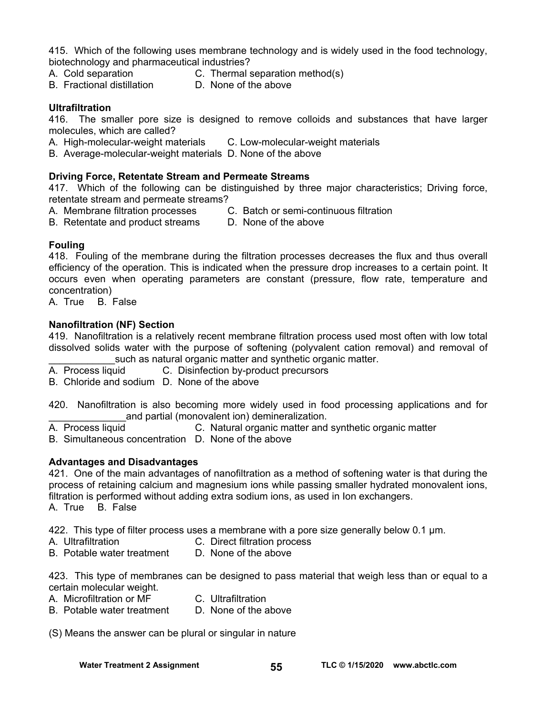415. Which of the following uses membrane technology and is widely used in the food technology, biotechnology and pharmaceutical industries?

- A. Cold separation C. Thermal separation method(s)
	-
- B. Fractional distillation D. None of the above

#### **Ultrafiltration**

416. The smaller pore size is designed to remove colloids and substances that have larger molecules, which are called?

- A. High-molecular-weight materials C. Low-molecular-weight materials
- B. Average-molecular-weight materials D. None of the above

#### **Driving Force, Retentate Stream and Permeate Streams**

417. Which of the following can be distinguished by three major characteristics; Driving force, retentate stream and permeate streams?

- A. Membrane filtration processes C. Batch or semi-continuous filtration
- B. Retentate and product streams D. None of the above

#### **Fouling**

418. Fouling of the membrane during the filtration processes decreases the flux and thus overall efficiency of the operation. This is indicated when the pressure drop increases to a certain point. It occurs even when operating parameters are constant (pressure, flow rate, temperature and concentration)

A. True B. False

#### **Nanofiltration (NF) Section**

419. Nanofiltration is a relatively recent membrane filtration process used most often with low total dissolved solids water with the purpose of softening (polyvalent cation removal) and removal of such as natural organic matter and synthetic organic matter.

A. Process liquid C. Disinfection by-product precursors

B. Chloride and sodium D. None of the above

420. Nanofiltration is also becoming more widely used in food processing applications and for and partial (monovalent ion) demineralization.

A. Process liquid C. Natural organic matter and synthetic organic matter

B. Simultaneous concentration D. None of the above

#### **Advantages and Disadvantages**

421. One of the main advantages of nanofiltration as a method of softening water is that during the process of retaining calcium and magnesium ions while passing smaller hydrated monovalent ions, filtration is performed without adding extra sodium ions, as used in Ion exchangers. A. True B. False

422. This type of filter process uses a membrane with a pore size generally below 0.1 µm.

- A. Ultrafiltration C. Direct filtration process
- B. Potable water treatment D. None of the above

423. This type of membranes can be designed to pass material that weigh less than or equal to a certain molecular weight.

- A. Microfiltration or MF C. Ultrafiltration
	-
- B. Potable water treatment D. None of the above

(S) Means the answer can be plural or singular in nature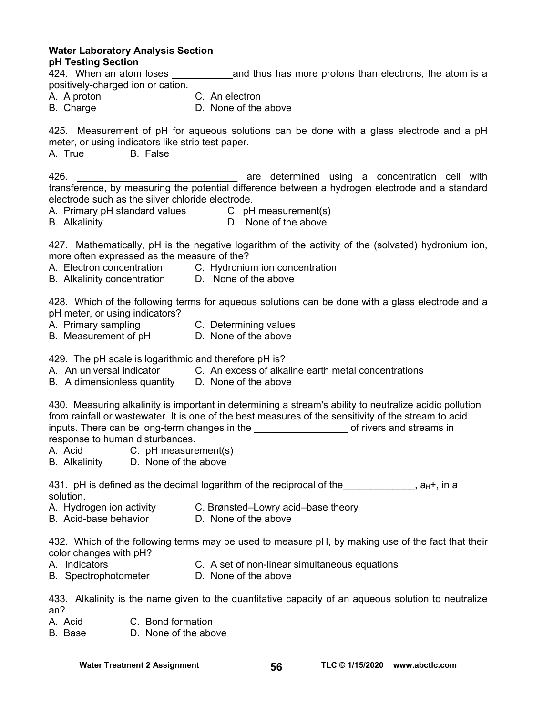**Water Laboratory Analysis Section pH Testing Section** 

424. When an atom loses and thus has more protons than electrons, the atom is a positively-charged ion or cation.

- A. A proton C. An electron
- B. Charge D. None of the above

425. Measurement of pH for aqueous solutions can be done with a glass electrode and a pH meter, or using indicators like strip test paper.

A. True B. False

426. \_\_\_\_\_\_\_\_\_\_\_\_\_\_\_\_\_\_\_\_\_\_\_\_\_\_\_\_\_ are determined using a concentration cell with transference, by measuring the potential difference between a hydrogen electrode and a standard electrode such as the silver chloride electrode.

A. Primary pH standard values C. pH measurement(s)

B. Alkalinity D. None of the above

427. Mathematically, pH is the negative logarithm of the activity of the (solvated) hydronium ion, more often expressed as the measure of the?

- A. Electron concentration C. Hydronium ion concentration
- B. Alkalinity concentration D. None of the above

428. Which of the following terms for aqueous solutions can be done with a glass electrode and a pH meter, or using indicators?

- A. Primary sampling C. Determining values
- B. Measurement of pH D. None of the above

429. The pH scale is logarithmic and therefore pH is?

- A. An universal indicator C. An excess of alkaline earth metal concentrations
- B. A dimensionless quantity D. None of the above

430. Measuring alkalinity is important in determining a stream's ability to neutralize acidic pollution from rainfall or wastewater. It is one of the best measures of the sensitivity of the stream to acid inputs. There can be long-term changes in the **constantly all actual constants** of rivers and streams in response to human disturbances.

- A. Acid C. pH measurement(s)
- B. Alkalinity D. None of the above

431. pH is defined as the decimal logarithm of the reciprocal of the  $a_H +$ , in a solution.

- A. Hydrogen ion activity C. Brønsted–Lowry acid–base theory
- B. Acid-base behavior **D. None of the above**

432. Which of the following terms may be used to measure pH, by making use of the fact that their color changes with pH?

- 
- A. Indicators C. A set of non-linear simultaneous equations
- B. SpectrophotometerD. None of the above
- 

433. Alkalinity is the name given to the quantitative capacity of an aqueous solution to neutralize an?

- A. Acid C. Bond formation
- B. Base D. None of the above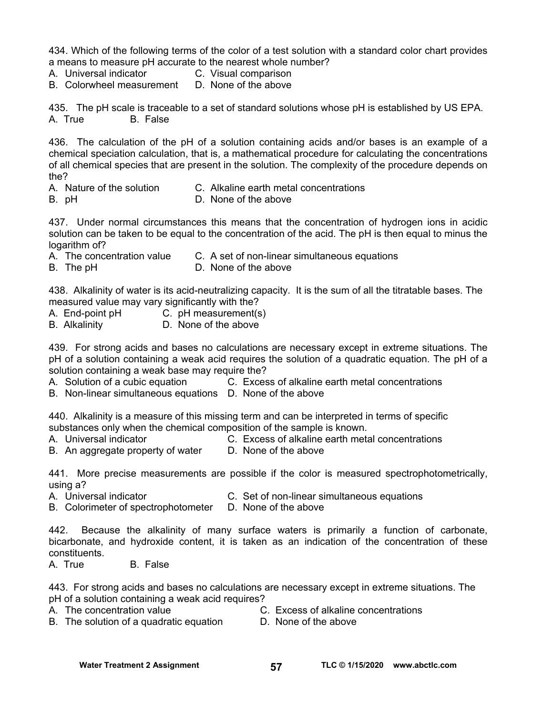434. Which of the following terms of the color of a test solution with a standard color chart provides a means to measure pH accurate to the nearest whole number?

- A. Universal indicator C. Visual comparison
- B. Colorwheel measurement D. None of the above

435. The pH scale is traceable to a set of standard solutions whose pH is established by US EPA. A. True B. False

436. The calculation of the pH of a solution containing acids and/or bases is an example of a chemical speciation calculation, that is, a mathematical procedure for calculating the concentrations of all chemical species that are present in the solution. The complexity of the procedure depends on the?

- A. Nature of the solution C. Alkaline earth metal concentrations
- B. pH **D.** None of the above

437. Under normal circumstances this means that the concentration of hydrogen ions in acidic solution can be taken to be equal to the concentration of the acid. The pH is then equal to minus the logarithm of?

- A. The concentration value C. A set of non-linear simultaneous equations
- B. The pH **D. None of the above**

438. Alkalinity of water is its acid-neutralizing capacity. It is the sum of all the titratable bases. The measured value may vary significantly with the?

- A. End-point pH C. pH measurement(s)
- B. Alkalinity D. None of the above

439. For strong acids and bases no calculations are necessary except in extreme situations. The pH of a solution containing a weak acid requires the solution of a quadratic equation. The pH of a solution containing a weak base may require the?

A. Solution of a cubic equation C. Excess of alkaline earth metal concentrations

B. Non-linear simultaneous equations D. None of the above

440. Alkalinity is a measure of this missing term and can be interpreted in terms of specific substances only when the chemical composition of the sample is known.

- A. Universal indicator C. Excess of alkaline earth metal concentrations
- B. An aggregate property of water D. None of the above

441. More precise measurements are possible if the color is measured spectrophotometrically, using a?

- A. Universal indicator C. Set of non-linear simultaneous equations
- B. Colorimeter of spectrophotometer D. None of the above

442. Because the alkalinity of many surface waters is primarily a function of carbonate, bicarbonate, and hydroxide content, it is taken as an indication of the concentration of these constituents.

A. True B. False

443. For strong acids and bases no calculations are necessary except in extreme situations. The pH of a solution containing a weak acid requires?

- 
- A. The concentration value **C.** Excess of alkaline concentrations
- B. The solution of a quadratic equation **D.** None of the above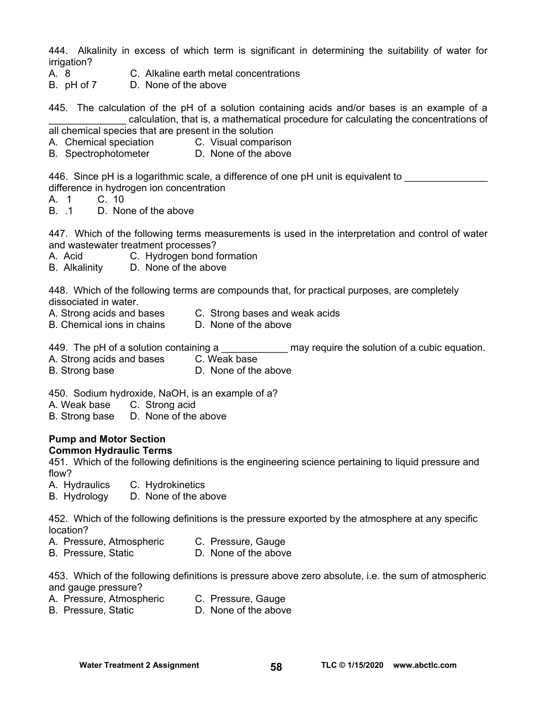444. Alkalinity in excess of which term is significant in determining the suitability of water for irrigation?

- 
- A. 8 C. Alkaline earth metal concentrations
- B. pH of 7D. None of the above

445. The calculation of the pH of a solution containing acids and/or bases is an example of a \_\_\_\_\_\_\_\_\_\_\_\_\_\_ calculation, that is, a mathematical procedure for calculating the concentrations of

- all chemical species that are present in the solution
- A. Chemical speciation C. Visual comparison
- B. Spectrophotometer D. None of the above

446. Since pH is a logarithmic scale, a difference of one pH unit is equivalent to difference in hydrogen ion concentration

- A. 1 C. 10
- B. .1 D. None of the above

447. Which of the following terms measurements is used in the interpretation and control of water and wastewater treatment processes?

- A. Acid C. Hydrogen bond formation
- B. Alkalinity D. None of the above

448. Which of the following terms are compounds that, for practical purposes, are completely dissociated in water.

- A. Strong acids and bases C. Strong bases and weak acids
- B. Chemical ions in chains D. None of the above
	-

449. The pH of a solution containing a \_\_\_\_\_\_\_\_\_\_\_\_\_\_\_ may require the solution of a cubic equation.

- A. Strong acids and bases C. Weak base
- B. Strong base D. None of the above

450. Sodium hydroxide, NaOH, is an example of a?

- A. Weak base C. Strong acid
- B. Strong base D. None of the above

#### **Pump and Motor Section Common Hydraulic Terms**

451. Which of the following definitions is the engineering science pertaining to liquid pressure and flow?

- A. Hydraulics C. Hydrokinetics
- B. Hydrology D. None of the above

452. Which of the following definitions is the pressure exported by the atmosphere at any specific location?

- A. Pressure, Atmospheric C. Pressure, Gauge
- B. Pressure, Static D. None of the above

453. Which of the following definitions is pressure above zero absolute, i.e. the sum of atmospheric and gauge pressure?

- A. Pressure, Atmospheric C. Pressure, Gauge
- B. Pressure, Static D. None of the above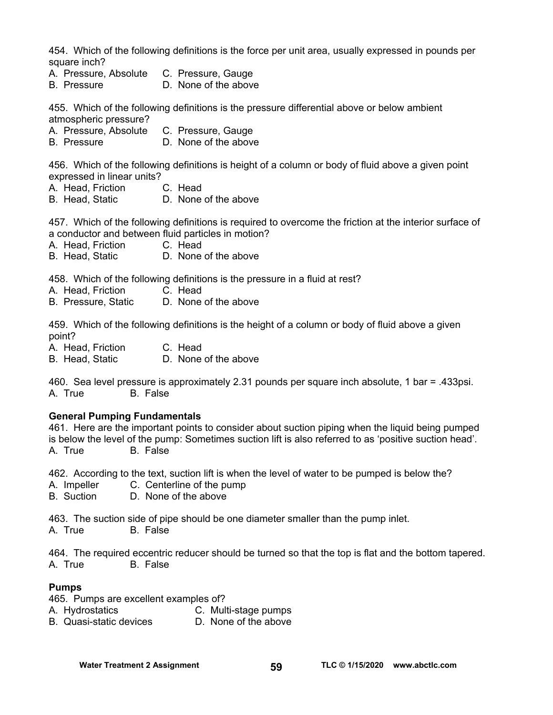454. Which of the following definitions is the force per unit area, usually expressed in pounds per square inch?

- A. Pressure, Absolute C. Pressure, Gauge
- B. Pressure D. None of the above

455. Which of the following definitions is the pressure differential above or below ambient atmospheric pressure?

- A. Pressure, Absolute C. Pressure, Gauge
- B. Pressure D. None of the above

456. Which of the following definitions is height of a column or body of fluid above a given point expressed in linear units?

- A. Head, Friction C. Head
- B. Head, Static D. None of the above

457. Which of the following definitions is required to overcome the friction at the interior surface of a conductor and between fluid particles in motion?

- A. Head, Friction C. Head
- B. Head, Static D. None of the above

458. Which of the following definitions is the pressure in a fluid at rest?

- A. Head, Friction C. Head
- B. Pressure, Static D. None of the above

459. Which of the following definitions is the height of a column or body of fluid above a given point?

- A. Head, Friction C. Head
- B. Head, Static D. None of the above

460. Sea level pressure is approximately 2.31 pounds per square inch absolute, 1 bar = .433psi. A. True B. False

#### **General Pumping Fundamentals**

461. Here are the important points to consider about suction piping when the liquid being pumped is below the level of the pump: Sometimes suction lift is also referred to as 'positive suction head'. A. True B. False

462. According to the text, suction lift is when the level of water to be pumped is below the?

- A. Impeller C. Centerline of the pump
- B. Suction D. None of the above

463. The suction side of pipe should be one diameter smaller than the pump inlet.

A. True B. False

464. The required eccentric reducer should be turned so that the top is flat and the bottom tapered. A. True B. False

#### **Pumps**

465. Pumps are excellent examples of?

- A. Hydrostatics **C. Multi-stage pumps**<br>
B. Quasi-static devices **C. None of the above**
- B. Quasi-static devices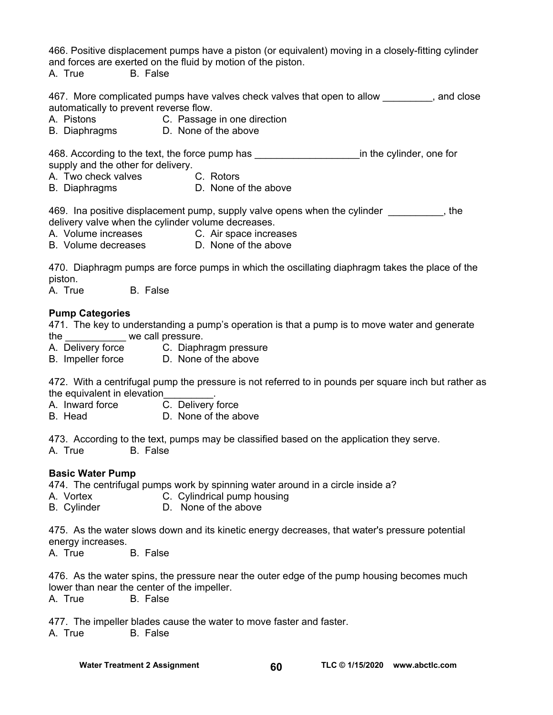466. Positive displacement pumps have a piston (or equivalent) moving in a closely-fitting cylinder and forces are exerted on the fluid by motion of the piston.

A. True B. False

467. More complicated pumps have valves check valves that open to allow \_\_\_\_\_\_\_\_, and close automatically to prevent reverse flow.

- A. Pistons C. Passage in one direction
- B. Diaphragms D. None of the above

468. According to the text, the force pump has **Example 20** in the cylinder, one for supply and the other for delivery.

- A. Two check valves C. Rotors
- B. Diaphragms D. None of the above

469. Ina positive displacement pump, supply valve opens when the cylinder  $\qquad \qquad$ , the delivery valve when the cylinder volume decreases.

- A. Volume increases C. Air space increases
- B. Volume decreases D. None of the above

470. Diaphragm pumps are force pumps in which the oscillating diaphragm takes the place of the piston.

A. True B. False

#### **Pump Categories**

471. The key to understanding a pump's operation is that a pump is to move water and generate the we call pressure.

- A. Delivery force C. Diaphragm pressure
- B. Impeller force D. None of the above

472. With a centrifugal pump the pressure is not referred to in pounds per square inch but rather as the equivalent in elevation

- A. Inward force  $\overline{C}$ . Delivery force
- B. Head D. None of the above

473. According to the text, pumps may be classified based on the application they serve. A. True B. False

#### **Basic Water Pump**

474. The centrifugal pumps work by spinning water around in a circle inside a?

- A. Vortex **C. Cylindrical pump housing**
- B. Cylinder D. None of the above

475. As the water slows down and its kinetic energy decreases, that water's pressure potential energy increases.

A. True B. False

476. As the water spins, the pressure near the outer edge of the pump housing becomes much lower than near the center of the impeller.

A. True B. False

477. The impeller blades cause the water to move faster and faster.

A. True B. False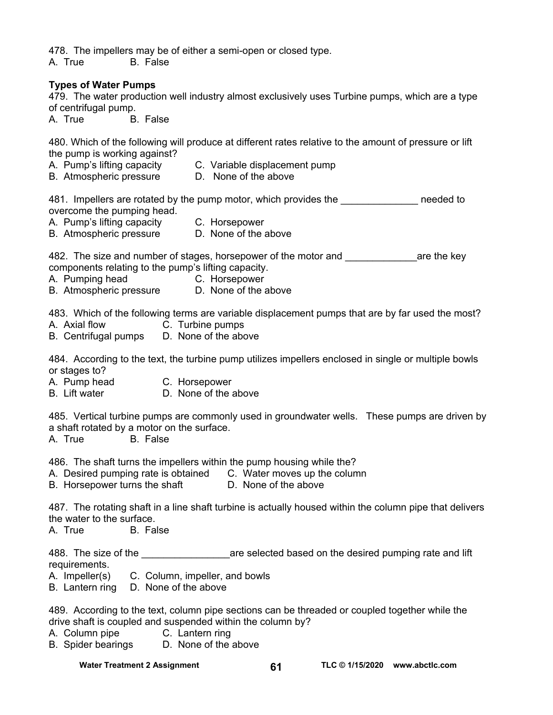478. The impellers may be of either a semi-open or closed type.

A. True B. False

#### **Types of Water Pumps**

479. The water production well industry almost exclusively uses Turbine pumps, which are a type of centrifugal pump.

A. True B. False

480. Which of the following will produce at different rates relative to the amount of pressure or lift the pump is working against?

- A. Pump's lifting capacity C. Variable displacement pump
- B. Atmospheric pressure D. None of the above

481. Impellers are rotated by the pump motor, which provides the meeded to overcome the pumping head.

- A. Pump's lifting capacity C. Horsepower
- B. Atmospheric pressure D. None of the above
	-

482. The size and number of stages, horsepower of the motor and **with any care the key** components relating to the pump's lifting capacity.

- A. Pumping head C. Horsepower
- B. Atmospheric pressure D. None of the above

483. Which of the following terms are variable displacement pumps that are by far used the most? A. Axial flow C. Turbine pumps

- 
- B. Centrifugal pumps D. None of the above

484. According to the text, the turbine pump utilizes impellers enclosed in single or multiple bowls or stages to?

- A. Pump head C. Horsepower
- B. Lift water D. None of the above

485. Vertical turbine pumps are commonly used in groundwater wells. These pumps are driven by a shaft rotated by a motor on the surface.

A. True B. False

486. The shaft turns the impellers within the pump housing while the?

A. Desired pumping rate is obtained C. Water moves up the column

B. Horsepower turns the shaft D. None of the above

487. The rotating shaft in a line shaft turbine is actually housed within the column pipe that delivers the water to the surface.

A. True B. False

488. The size of the \_\_\_\_\_\_\_\_\_\_\_\_\_\_\_\_\_\_\_\_\_\_\_\_are selected based on the desired pumping rate and lift requirements.

- A. Impeller(s) C. Column, impeller, and bowls
- B. Lantern ring D. None of the above

489. According to the text, column pipe sections can be threaded or coupled together while the drive shaft is coupled and suspended within the column by?

- A. Column pipe C. Lantern ring
- B. Spider bearings D. None of the above

Water Treatment 2 Assignment **61 TLC © 1/15/2020** www.abctlc.com